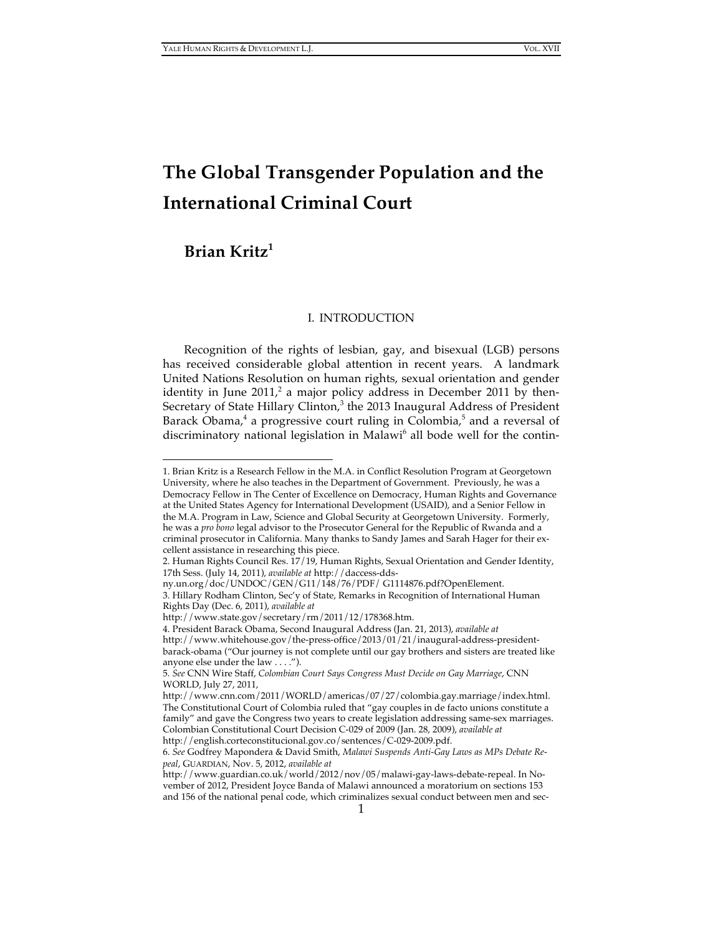# **The Global Transgender Population and the International Criminal Court**

# **Brian Kritz1**

 $\overline{a}$ 

# I. INTRODUCTION

Recognition of the rights of lesbian, gay, and bisexual (LGB) persons has received considerable global attention in recent years. A landmark United Nations Resolution on human rights, sexual orientation and gender identity in June 2011,<sup>2</sup> a major policy address in December 2011 by then-Secretary of State Hillary Clinton, $3$  the 2013 Inaugural Address of President Barack Obama,<sup>4</sup> a progressive court ruling in Colombia,<sup>5</sup> and a reversal of discriminatory national legislation in Malawi<sup>6</sup> all bode well for the contin-

<sup>1.</sup> Brian Kritz is a Research Fellow in the M.A. in Conflict Resolution Program at Georgetown University, where he also teaches in the Department of Government. Previously, he was a Democracy Fellow in The Center of Excellence on Democracy, Human Rights and Governance at the United States Agency for International Development (USAID), and a Senior Fellow in the M.A. Program in Law, Science and Global Security at Georgetown University. Formerly, he was a *pro bono* legal advisor to the Prosecutor General for the Republic of Rwanda and a criminal prosecutor in California. Many thanks to Sandy James and Sarah Hager for their excellent assistance in researching this piece.

<sup>2.</sup> Human Rights Council Res. 17/19, Human Rights, Sexual Orientation and Gender Identity, 17th Sess. (July 14, 2011), *available at* http://daccess-dds-

ny.un.org/doc/UNDOC/GEN/G11/148/76/PDF/ G1114876.pdf?OpenElement. 3. Hillary Rodham Clinton, Sec'y of State, Remarks in Recognition of International Human Rights Day (Dec. 6, 2011), *available at*

http://www.state.gov/secretary/rm/2011/12/178368.htm.

<sup>4.</sup> President Barack Obama, Second Inaugural Address (Jan. 21, 2013), *available at*

http://www.whitehouse.gov/the-press-office/2013/01/21/inaugural-address-presidentbarack-obama ("Our journey is not complete until our gay brothers and sisters are treated like anyone else under the law . . . .").

<sup>5.</sup> *See* CNN Wire Staff, *Colombian Court Says Congress Must Decide on Gay Marriage*, CNN WORLD, July 27, 2011,

http://www.cnn.com/2011/WORLD/americas/07/27/colombia.gay.marriage/index.html. The Constitutional Court of Colombia ruled that "gay couples in de facto unions constitute a family" and gave the Congress two years to create legislation addressing same-sex marriages. Colombian Constitutional Court Decision C-029 of 2009 (Jan. 28, 2009), *available at*  http://english.corteconstitucional.gov.co/sentences/C-029-2009.pdf.

<sup>6.</sup> *See* Godfrey Mapondera & David Smith, *Malawi Suspends Anti-Gay Laws as MPs Debate Repeal*, GUARDIAN, Nov. 5, 2012, *available at*

http://www.guardian.co.uk/world/2012/nov/05/malawi-gay-laws-debate-repeal. In November of 2012, President Joyce Banda of Malawi announced a moratorium on sections 153 and 156 of the national penal code, which criminalizes sexual conduct between men and sec-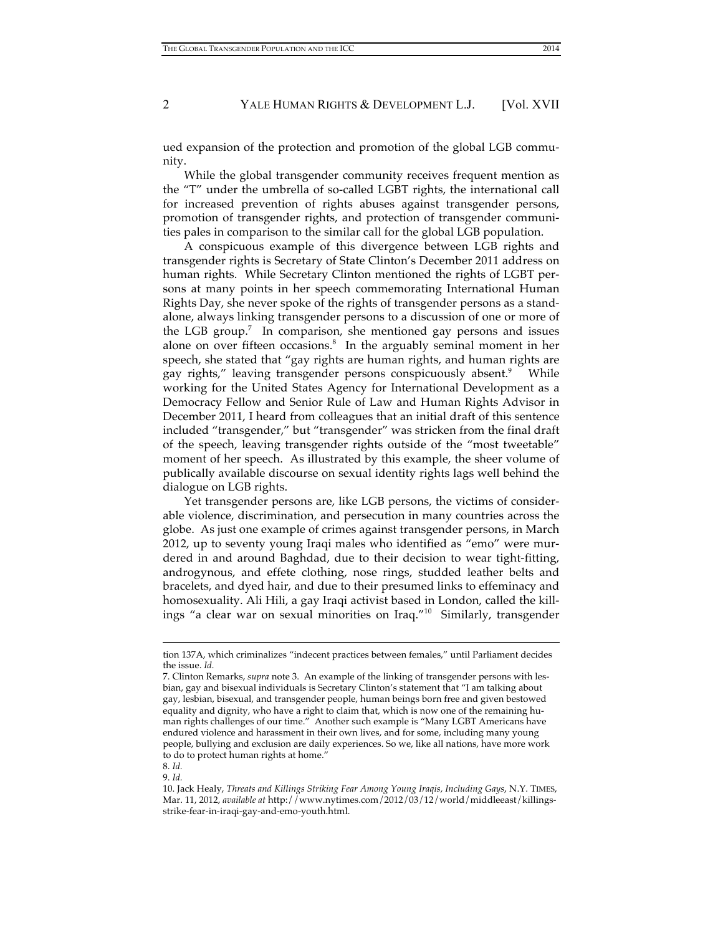ued expansion of the protection and promotion of the global LGB community.

While the global transgender community receives frequent mention as the "T" under the umbrella of so-called LGBT rights, the international call for increased prevention of rights abuses against transgender persons, promotion of transgender rights, and protection of transgender communities pales in comparison to the similar call for the global LGB population.

A conspicuous example of this divergence between LGB rights and transgender rights is Secretary of State Clinton's December 2011 address on human rights. While Secretary Clinton mentioned the rights of LGBT persons at many points in her speech commemorating International Human Rights Day, she never spoke of the rights of transgender persons as a standalone, always linking transgender persons to a discussion of one or more of the LGB group.<sup>7</sup> In comparison, she mentioned gay persons and issues alone on over fifteen occasions.<sup>8</sup> In the arguably seminal moment in her speech, she stated that "gay rights are human rights, and human rights are gay rights," leaving transgender persons conspicuously absent.<sup>9</sup> While working for the United States Agency for International Development as a Democracy Fellow and Senior Rule of Law and Human Rights Advisor in December 2011, I heard from colleagues that an initial draft of this sentence included "transgender," but "transgender" was stricken from the final draft of the speech, leaving transgender rights outside of the "most tweetable" moment of her speech. As illustrated by this example, the sheer volume of publically available discourse on sexual identity rights lags well behind the dialogue on LGB rights.

Yet transgender persons are, like LGB persons, the victims of considerable violence, discrimination, and persecution in many countries across the globe. As just one example of crimes against transgender persons, in March 2012, up to seventy young Iraqi males who identified as "emo" were murdered in and around Baghdad, due to their decision to wear tight-fitting, androgynous, and effete clothing, nose rings, studded leather belts and bracelets, and dyed hair, and due to their presumed links to effeminacy and homosexuality. Ali Hili, a gay Iraqi activist based in London, called the killings "a clear war on sexual minorities on Iraq."10 Similarly, transgender

 $\overline{a}$ 

9. *Id.*

tion 137A, which criminalizes "indecent practices between females," until Parliament decides the issue. *Id.* 

<sup>7.</sup> Clinton Remarks, *supra* note 3. An example of the linking of transgender persons with lesbian, gay and bisexual individuals is Secretary Clinton's statement that "I am talking about gay, lesbian, bisexual, and transgender people, human beings born free and given bestowed equality and dignity, who have a right to claim that, which is now one of the remaining human rights challenges of our time." Another such example is "Many LGBT Americans have endured violence and harassment in their own lives, and for some, including many young people, bullying and exclusion are daily experiences. So we, like all nations, have more work to do to protect human rights at home."

<sup>8.</sup> *Id.*

<sup>10.</sup> Jack Healy, *Threats and Killings Striking Fear Among Young Iraqis, Including Gays*, N.Y. TIMES, Mar. 11, 2012, *available at* http://www.nytimes.com/2012/03/12/world/middleeast/killingsstrike-fear-in-iraqi-gay-and-emo-youth.html.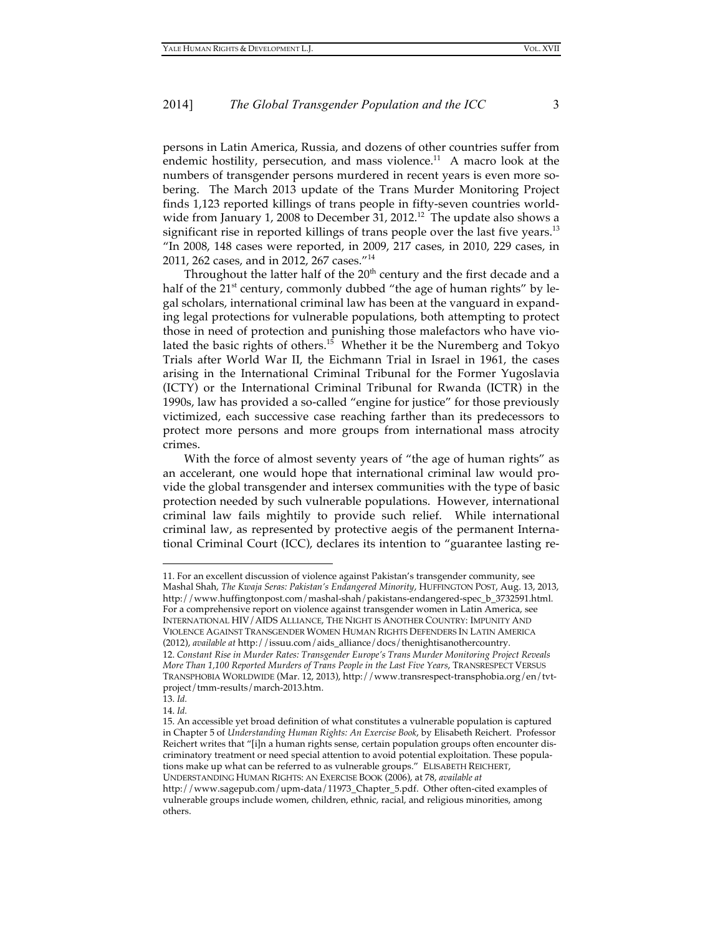persons in Latin America, Russia, and dozens of other countries suffer from endemic hostility, persecution, and mass violence.<sup>11</sup> A macro look at the numbers of transgender persons murdered in recent years is even more sobering. The March 2013 update of the Trans Murder Monitoring Project finds 1,123 reported killings of trans people in fifty-seven countries worldwide from January 1, 2008 to December 31, 2012.<sup>12</sup> The update also shows a significant rise in reported killings of trans people over the last five years.<sup>13</sup> "In 2008, 148 cases were reported, in 2009, 217 cases, in 2010, 229 cases, in 2011, 262 cases, and in 2012, 267 cases."<sup>14</sup>

Throughout the latter half of the  $20<sup>th</sup>$  century and the first decade and a half of the  $21<sup>st</sup>$  century, commonly dubbed "the age of human rights" by legal scholars, international criminal law has been at the vanguard in expanding legal protections for vulnerable populations, both attempting to protect those in need of protection and punishing those malefactors who have violated the basic rights of others.<sup>15</sup> Whether it be the Nuremberg and Tokyo Trials after World War II, the Eichmann Trial in Israel in 1961, the cases arising in the International Criminal Tribunal for the Former Yugoslavia (ICTY) or the International Criminal Tribunal for Rwanda (ICTR) in the 1990s, law has provided a so-called "engine for justice" for those previously victimized, each successive case reaching farther than its predecessors to protect more persons and more groups from international mass atrocity crimes.

With the force of almost seventy years of "the age of human rights" as an accelerant, one would hope that international criminal law would provide the global transgender and intersex communities with the type of basic protection needed by such vulnerable populations. However, international criminal law fails mightily to provide such relief. While international criminal law, as represented by protective aegis of the permanent International Criminal Court (ICC), declares its intention to "guarantee lasting re-

<sup>11.</sup> For an excellent discussion of violence against Pakistan's transgender community, see Mashal Shah, *The Kwaja Seras: Pakistan's Endangered Minority*, HUFFINGTON POST, Aug. 13, 2013, http://www.huffingtonpost.com/mashal-shah/pakistans-endangered-spec\_b\_3732591.html. For a comprehensive report on violence against transgender women in Latin America, see INTERNATIONAL HIV/AIDS ALLIANCE, THE NIGHT IS ANOTHER COUNTRY: IMPUNITY AND VIOLENCE AGAINST TRANSGENDER WOMEN HUMAN RIGHTS DEFENDERS IN LATIN AMERICA (2012), *available at* http://issuu.com/aids\_alliance/docs/thenightisanothercountry. 12. *Constant Rise in Murder Rates: Transgender Europe's Trans Murder Monitoring Project Reveals More Than 1,100 Reported Murders of Trans People in the Last Five Years*, TRANSRESPECT VERSUS TRANSPHOBIA WORLDWIDE (Mar. 12, 2013), http://www.transrespect-transphobia.org/en/tvtproject/tmm-results/march-2013.htm.

<sup>13.</sup> *Id.*

<sup>14.</sup> *Id.*

<sup>15.</sup> An accessible yet broad definition of what constitutes a vulnerable population is captured in Chapter 5 of *Understanding Human Rights: An Exercise Book*, by Elisabeth Reichert. Professor Reichert writes that "[i]n a human rights sense, certain population groups often encounter discriminatory treatment or need special attention to avoid potential exploitation. These populations make up what can be referred to as vulnerable groups." ELISABETH REICHERT, UNDERSTANDING HUMAN RIGHTS: AN EXERCISE BOOK (2006), at 78, *available at*

http://www.sagepub.com/upm-data/11973\_Chapter\_5.pdf. Other often-cited examples of vulnerable groups include women, children, ethnic, racial, and religious minorities, among others.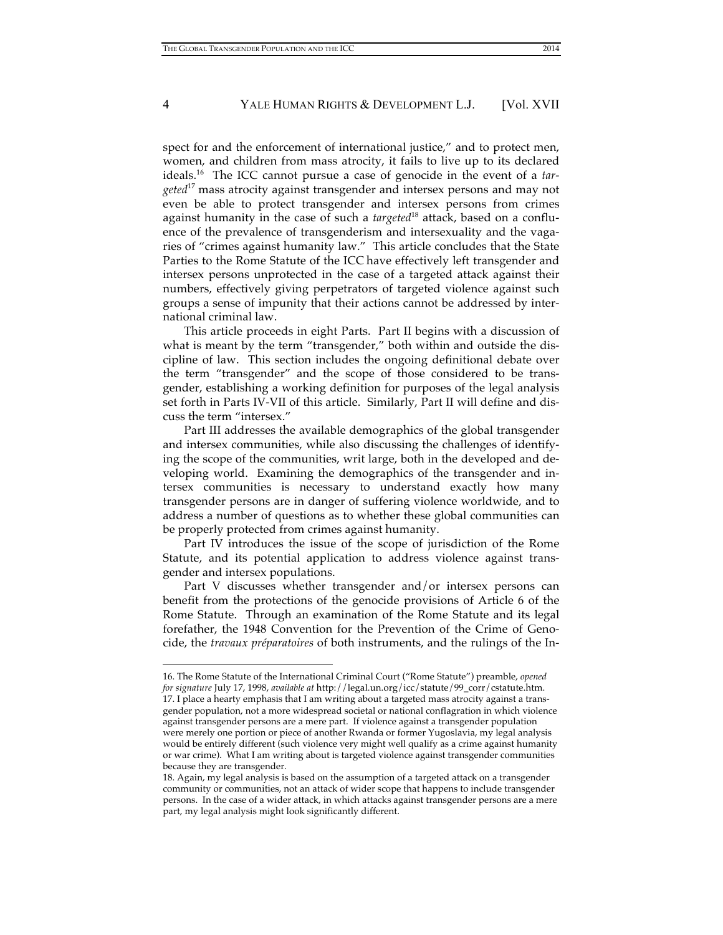spect for and the enforcement of international justice," and to protect men, women, and children from mass atrocity, it fails to live up to its declared ideals. 16 The ICC cannot pursue a case of genocide in the event of a *targeted*17 mass atrocity against transgender and intersex persons and may not even be able to protect transgender and intersex persons from crimes against humanity in the case of such a *targeted*<sup>18</sup> attack, based on a confluence of the prevalence of transgenderism and intersexuality and the vagaries of "crimes against humanity law." This article concludes that the State Parties to the Rome Statute of the ICC have effectively left transgender and intersex persons unprotected in the case of a targeted attack against their numbers, effectively giving perpetrators of targeted violence against such groups a sense of impunity that their actions cannot be addressed by international criminal law.

This article proceeds in eight Parts. Part II begins with a discussion of what is meant by the term "transgender," both within and outside the discipline of law. This section includes the ongoing definitional debate over the term "transgender" and the scope of those considered to be transgender, establishing a working definition for purposes of the legal analysis set forth in Parts IV-VII of this article. Similarly, Part II will define and discuss the term "intersex."

Part III addresses the available demographics of the global transgender and intersex communities, while also discussing the challenges of identifying the scope of the communities, writ large, both in the developed and developing world. Examining the demographics of the transgender and intersex communities is necessary to understand exactly how many transgender persons are in danger of suffering violence worldwide, and to address a number of questions as to whether these global communities can be properly protected from crimes against humanity.

Part IV introduces the issue of the scope of jurisdiction of the Rome Statute, and its potential application to address violence against transgender and intersex populations.

Part V discusses whether transgender and/or intersex persons can benefit from the protections of the genocide provisions of Article 6 of the Rome Statute. Through an examination of the Rome Statute and its legal forefather, the 1948 Convention for the Prevention of the Crime of Genocide, the *travaux préparatoires* of both instruments, and the rulings of the In-

<sup>16.</sup> The Rome Statute of the International Criminal Court ("Rome Statute") preamble, *opened for signature* July 17, 1998, *available at* http://legal.un.org/icc/statute/99\_corr/cstatute.htm. 17. I place a hearty emphasis that I am writing about a targeted mass atrocity against a transgender population, not a more widespread societal or national conflagration in which violence against transgender persons are a mere part. If violence against a transgender population were merely one portion or piece of another Rwanda or former Yugoslavia, my legal analysis would be entirely different (such violence very might well qualify as a crime against humanity or war crime). What I am writing about is targeted violence against transgender communities because they are transgender.

<sup>18.</sup> Again, my legal analysis is based on the assumption of a targeted attack on a transgender community or communities, not an attack of wider scope that happens to include transgender persons. In the case of a wider attack, in which attacks against transgender persons are a mere part, my legal analysis might look significantly different.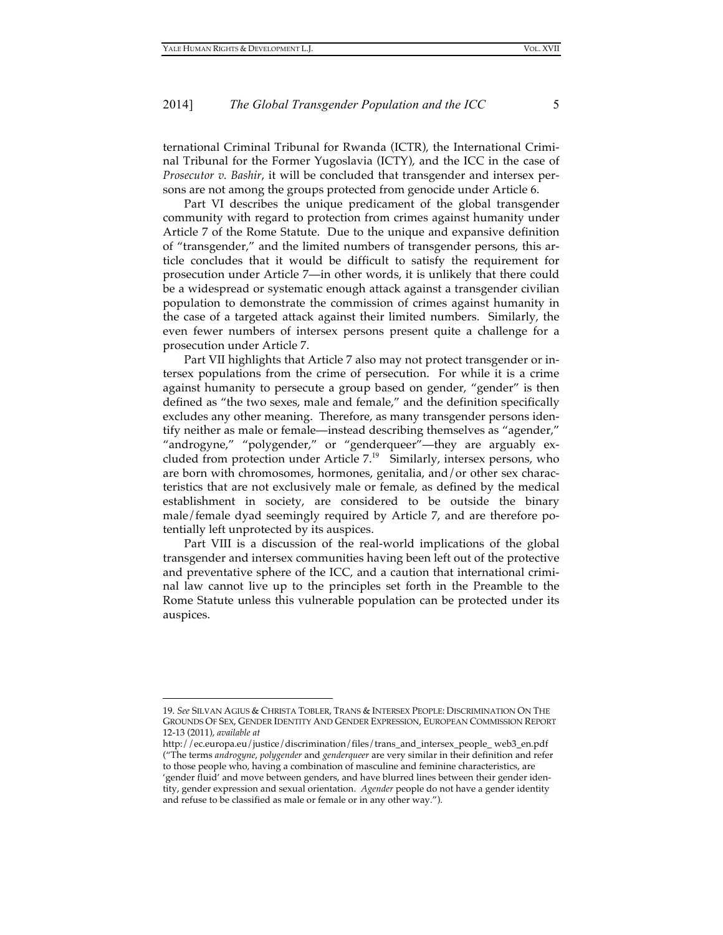ternational Criminal Tribunal for Rwanda (ICTR), the International Criminal Tribunal for the Former Yugoslavia (ICTY), and the ICC in the case of *Prosecutor v. Bashir*, it will be concluded that transgender and intersex persons are not among the groups protected from genocide under Article 6.

Part VI describes the unique predicament of the global transgender community with regard to protection from crimes against humanity under Article 7 of the Rome Statute. Due to the unique and expansive definition of "transgender," and the limited numbers of transgender persons, this article concludes that it would be difficult to satisfy the requirement for prosecution under Article 7—in other words, it is unlikely that there could be a widespread or systematic enough attack against a transgender civilian population to demonstrate the commission of crimes against humanity in the case of a targeted attack against their limited numbers. Similarly, the even fewer numbers of intersex persons present quite a challenge for a prosecution under Article 7.

Part VII highlights that Article 7 also may not protect transgender or intersex populations from the crime of persecution. For while it is a crime against humanity to persecute a group based on gender, "gender" is then defined as "the two sexes, male and female," and the definition specifically excludes any other meaning. Therefore, as many transgender persons identify neither as male or female—instead describing themselves as "agender," "androgyne," "polygender," or "genderqueer"—they are arguably excluded from protection under Article 7. 19 Similarly, intersex persons, who are born with chromosomes, hormones, genitalia, and/or other sex characteristics that are not exclusively male or female, as defined by the medical establishment in society, are considered to be outside the binary male/female dyad seemingly required by Article 7, and are therefore potentially left unprotected by its auspices.

Part VIII is a discussion of the real-world implications of the global transgender and intersex communities having been left out of the protective and preventative sphere of the ICC, and a caution that international criminal law cannot live up to the principles set forth in the Preamble to the Rome Statute unless this vulnerable population can be protected under its auspices.

<sup>19.</sup> *See* SILVAN AGIUS & CHRISTA TOBLER, TRANS & INTERSEX PEOPLE: DISCRIMINATION ON THE GROUNDS OF SEX, GENDER IDENTITY AND GENDER EXPRESSION, EUROPEAN COMMISSION REPORT 12-13 (2011), *available at* 

http://ec.europa.eu/justice/discrimination/files/trans\_and\_intersex\_people\_ web3\_en.pdf ("The terms *androgyne*, *polygender* and *genderqueer* are very similar in their definition and refer to those people who, having a combination of masculine and feminine characteristics, are 'gender fluid' and move between genders, and have blurred lines between their gender identity, gender expression and sexual orientation. *Agender* people do not have a gender identity and refuse to be classified as male or female or in any other way.").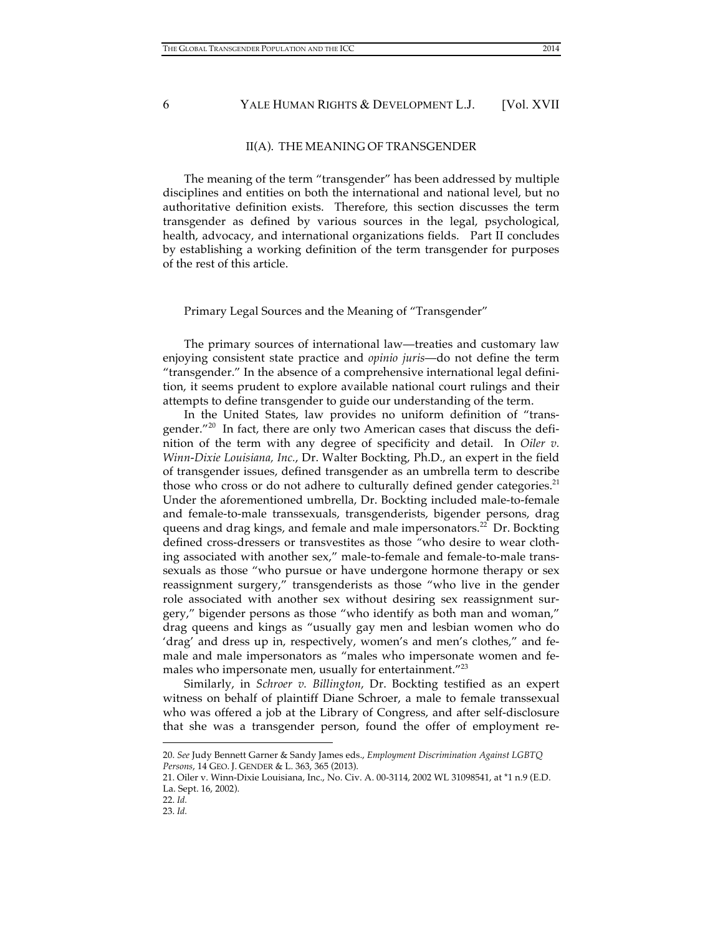# II(A). THE MEANING OF TRANSGENDER

The meaning of the term "transgender" has been addressed by multiple disciplines and entities on both the international and national level, but no authoritative definition exists. Therefore, this section discusses the term transgender as defined by various sources in the legal, psychological, health, advocacy, and international organizations fields. Part II concludes by establishing a working definition of the term transgender for purposes of the rest of this article.

#### Primary Legal Sources and the Meaning of "Transgender"

The primary sources of international law—treaties and customary law enjoying consistent state practice and *opinio juris*—do not define the term "transgender." In the absence of a comprehensive international legal definition, it seems prudent to explore available national court rulings and their attempts to define transgender to guide our understanding of the term.

In the United States, law provides no uniform definition of "transgender."<sup>20</sup> In fact, there are only two American cases that discuss the definition of the term with any degree of specificity and detail. In *Oiler v. Winn-Dixie Louisiana, Inc.*, Dr. Walter Bockting, Ph.D., an expert in the field of transgender issues, defined transgender as an umbrella term to describe those who cross or do not adhere to culturally defined gender categories.<sup>21</sup> Under the aforementioned umbrella, Dr. Bockting included male-to-female and female-to-male transsexuals, transgenderists, bigender persons, drag queens and drag kings, and female and male impersonators.<sup>22</sup> Dr. Bockting defined cross-dressers or transvestites as those *"*who desire to wear clothing associated with another sex," male-to-female and female-to-male transsexuals as those "who pursue or have undergone hormone therapy or sex reassignment surgery," transgenderists as those "who live in the gender role associated with another sex without desiring sex reassignment surgery," bigender persons as those "who identify as both man and woman," drag queens and kings as "usually gay men and lesbian women who do 'drag' and dress up in, respectively, women's and men's clothes," and female and male impersonators as "males who impersonate women and females who impersonate men, usually for entertainment."<sup>23</sup>

Similarly, in *Schroer v. Billington*, Dr. Bockting testified as an expert witness on behalf of plaintiff Diane Schroer, a male to female transsexual who was offered a job at the Library of Congress, and after self-disclosure that she was a transgender person, found the offer of employment re-

<sup>20.</sup> *See* Judy Bennett Garner & Sandy James eds., *Employment Discrimination Against LGBTQ Persons*, 14 GEO. J. GENDER & L. 363, 365 (2013).

<sup>21.</sup> Oiler v. Winn-Dixie Louisiana, Inc., No. Civ. A. 00-3114, 2002 WL 31098541, at \*1 n.9 (E.D. La. Sept. 16, 2002).

<sup>22.</sup> *Id.* 

<sup>23.</sup> *Id.*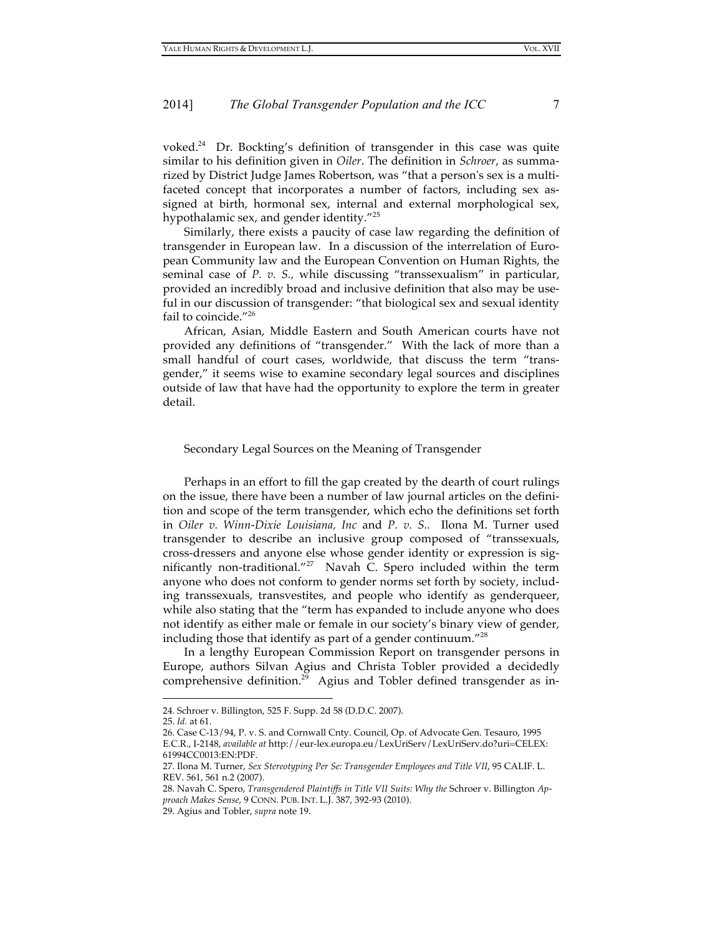voked. 24 Dr. Bockting's definition of transgender in this case was quite similar to his definition given in *Oiler*. The definition in *Schroer*, as summarized by District Judge James Robertson, was "that a person's sex is a multifaceted concept that incorporates a number of factors, including sex assigned at birth, hormonal sex, internal and external morphological sex, hypothalamic sex, and gender identity."<sup>25</sup>

Similarly, there exists a paucity of case law regarding the definition of transgender in European law. In a discussion of the interrelation of European Community law and the European Convention on Human Rights, the seminal case of *P. v. S.,* while discussing "transsexualism" in particular, provided an incredibly broad and inclusive definition that also may be useful in our discussion of transgender: "that biological sex and sexual identity fail to coincide."<sup>26</sup>

African, Asian, Middle Eastern and South American courts have not provided any definitions of "transgender." With the lack of more than a small handful of court cases, worldwide, that discuss the term "transgender," it seems wise to examine secondary legal sources and disciplines outside of law that have had the opportunity to explore the term in greater detail.

#### Secondary Legal Sources on the Meaning of Transgender

Perhaps in an effort to fill the gap created by the dearth of court rulings on the issue, there have been a number of law journal articles on the definition and scope of the term transgender, which echo the definitions set forth in *Oiler v. Winn-Dixie Louisiana, Inc* and *P. v. S..* Ilona M. Turner used transgender to describe an inclusive group composed of "transsexuals, cross-dressers and anyone else whose gender identity or expression is significantly non-traditional."<sup>27</sup> Navah C. Spero included within the term anyone who does not conform to gender norms set forth by society, including transsexuals, transvestites, and people who identify as genderqueer, while also stating that the "term has expanded to include anyone who does not identify as either male or female in our society's binary view of gender, including those that identify as part of a gender continuum." $^{28}$ 

In a lengthy European Commission Report on transgender persons in Europe, authors Silvan Agius and Christa Tobler provided a decidedly comprehensive definition. 29 Agius and Tobler defined transgender as in-

<sup>24.</sup> Schroer v. Billington, 525 F. Supp. 2d 58 (D.D.C. 2007).

<sup>25.</sup> *Id.* at 61.

<sup>26.</sup> Case C-13/94, P. v. S. and Cornwall Cnty. Council, Op. of Advocate Gen. Tesauro, 1995 E.C.R., I-2148, *available at* http://eur-lex.europa.eu/LexUriServ/LexUriServ.do?uri=CELEX: 61994CC0013:EN:PDF.

<sup>27.</sup> Ilona M. Turner, *Sex Stereotyping Per Se: Transgender Employees and Title VII*, 95 CALIF. L. REV. 561, 561 n.2 (2007).

<sup>28.</sup> Navah C. Spero, *Transgendered Plaintiffs in Title VII Suits: Why the* Schroer v. Billington *Approach Makes Sense*, 9 CONN. PUB. INT. L.J. 387, 392-93 (2010).

<sup>29.</sup> Agius and Tobler, *supra* note 19.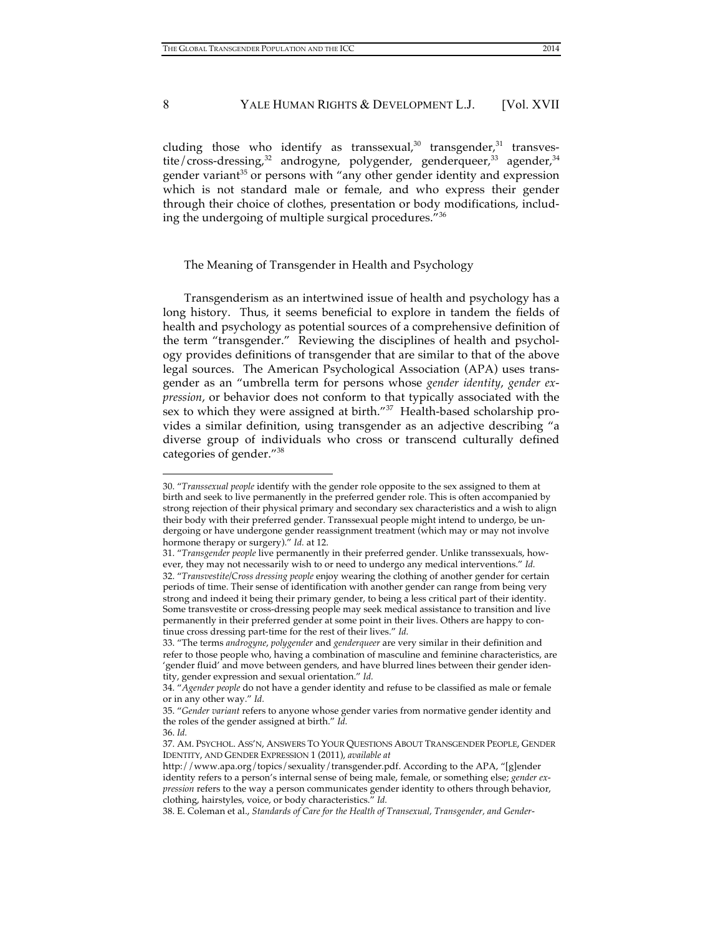cluding those who identify as transsexual, $30$  transgender, $31$  transvestite/cross-dressing,<sup>32</sup> androgyne, polygender, genderqueer,<sup>33</sup> agender,<sup>34</sup> gender variant<sup>35</sup> or persons with "any other gender identity and expression which is not standard male or female, and who express their gender through their choice of clothes, presentation or body modifications, including the undergoing of multiple surgical procedures."36

#### The Meaning of Transgender in Health and Psychology

Transgenderism as an intertwined issue of health and psychology has a long history. Thus, it seems beneficial to explore in tandem the fields of health and psychology as potential sources of a comprehensive definition of the term "transgender." Reviewing the disciplines of health and psychology provides definitions of transgender that are similar to that of the above legal sources. The American Psychological Association (APA) uses transgender as an "umbrella term for persons whose *gender identity*, *gender expression*, or behavior does not conform to that typically associated with the sex to which they were assigned at birth."<sup>37</sup> Health-based scholarship provides a similar definition, using transgender as an adjective describing "a diverse group of individuals who cross or transcend culturally defined categories of gender."<sup>38</sup>

<sup>30. &</sup>quot;*Transsexual people* identify with the gender role opposite to the sex assigned to them at birth and seek to live permanently in the preferred gender role. This is often accompanied by strong rejection of their physical primary and secondary sex characteristics and a wish to align their body with their preferred gender. Transsexual people might intend to undergo, be undergoing or have undergone gender reassignment treatment (which may or may not involve hormone therapy or surgery)." *Id.* at 12.

<sup>31. &</sup>quot;*Transgender people* live permanently in their preferred gender. Unlike transsexuals, however, they may not necessarily wish to or need to undergo any medical interventions." *Id.* 32. "*Transvestite/Cross dressing people* enjoy wearing the clothing of another gender for certain periods of time. Their sense of identification with another gender can range from being very strong and indeed it being their primary gender, to being a less critical part of their identity. Some transvestite or cross-dressing people may seek medical assistance to transition and live permanently in their preferred gender at some point in their lives. Others are happy to continue cross dressing part-time for the rest of their lives." *Id.*

<sup>33. &</sup>quot;The terms *androgyne*, *polygender* and *genderqueer* are very similar in their definition and refer to those people who, having a combination of masculine and feminine characteristics, are 'gender fluid' and move between genders, and have blurred lines between their gender identity, gender expression and sexual orientation." *Id.*

<sup>34. &</sup>quot;*Agender people* do not have a gender identity and refuse to be classified as male or female or in any other way." *Id.*

<sup>35. &</sup>quot;*Gender variant* refers to anyone whose gender varies from normative gender identity and the roles of the gender assigned at birth." *Id.*

<sup>36.</sup> *Id.*

<sup>37.</sup> AM. PSYCHOL. ASS'N, ANSWERS TO YOUR QUESTIONS ABOUT TRANSGENDER PEOPLE, GENDER IDENTITY, AND GENDER EXPRESSION 1 (2011), *available at* 

http://www.apa.org/topics/sexuality/transgender.pdf. According to the APA, "[g]ender identity refers to a person's internal sense of being male, female, or something else; *gender expression* refers to the way a person communicates gender identity to others through behavior, clothing, hairstyles, voice, or body characteristics." *Id.*

<sup>38.</sup> E. Coleman et al., *Standards of Care for the Health of Transexual, Transgender, and Gender-*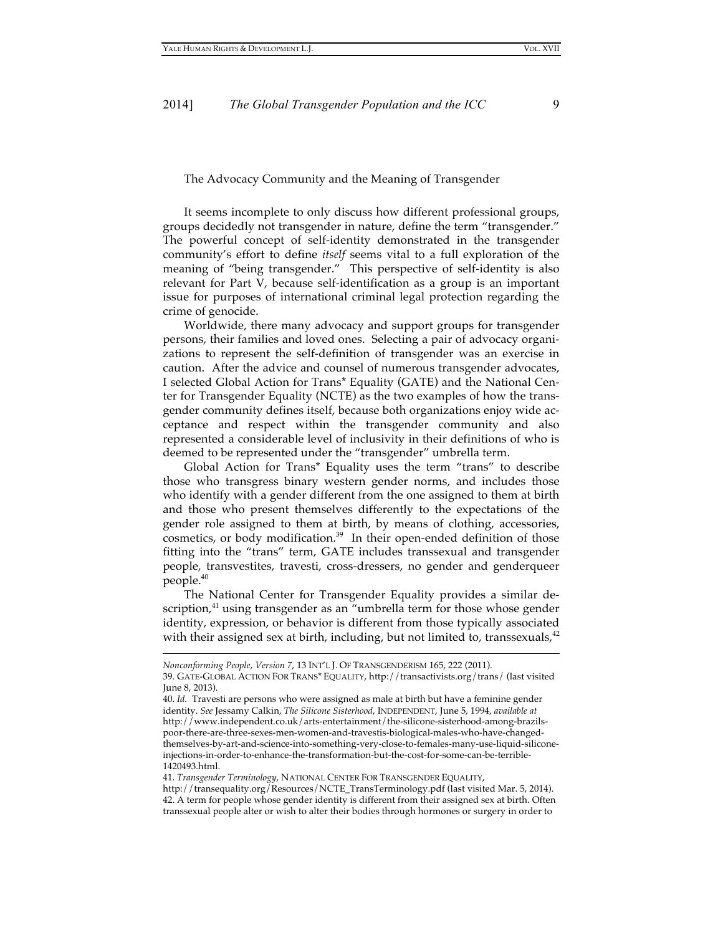#### The Advocacy Community and the Meaning of Transgender

It seems incomplete to only discuss how different professional groups, groups decidedly not transgender in nature, define the term "transgender." The powerful concept of self-identity demonstrated in the transgender community's effort to define *itself* seems vital to a full exploration of the meaning of "being transgender." This perspective of self-identity is also relevant for Part V, because self-identification as a group is an important issue for purposes of international criminal legal protection regarding the crime of genocide.

Worldwide, there many advocacy and support groups for transgender persons, their families and loved ones. Selecting a pair of advocacy organizations to represent the self-definition of transgender was an exercise in caution. After the advice and counsel of numerous transgender advocates, I selected Global Action for Trans\* Equality (GATE) and the National Center for Transgender Equality (NCTE) as the two examples of how the transgender community defines itself, because both organizations enjoy wide acceptance and respect within the transgender community and also represented a considerable level of inclusivity in their definitions of who is deemed to be represented under the "transgender" umbrella term.

Global Action for Trans\* Equality uses the term "trans" to describe those who transgress binary western gender norms, and includes those who identify with a gender different from the one assigned to them at birth and those who present themselves differently to the expectations of the gender role assigned to them at birth, by means of clothing, accessories, cosmetics, or body modification.<sup>39</sup> In their open-ended definition of those fitting into the "trans" term, GATE includes transsexual and transgender people, transvestites, travesti, cross-dressers, no gender and genderqueer people. 40

The National Center for Transgender Equality provides a similar description,<sup>41</sup> using transgender as an "umbrella term for those whose gender identity, expression, or behavior is different from those typically associated with their assigned sex at birth, including, but not limited to, transsexuals, $^{42}$ 

*Nonconforming People, Version 7*, 13 INT'L J. OF TRANSGENDERISM 165, 222 (2011).

<sup>39.</sup> GATE-GLOBAL ACTION FOR TRANS\* EQUALITY, http://transactivists.org/trans/ (last visited June 8, 2013).

<sup>40.</sup> *Id.* Travesti are persons who were assigned as male at birth but have a feminine gender identity. *See* Jessamy Calkin, *The Silicone Sisterhood*, INDEPENDENT, June 5, 1994, *available at* http://www.independent.co.uk/arts-entertainment/the-silicone-sisterhood-among-brazilspoor-there-are-three-sexes-men-women-and-travestis-biological-males-who-have-changedthemselves-by-art-and-science-into-something-very-close-to-females-many-use-liquid-siliconeinjections-in-order-to-enhance-the-transformation-but-the-cost-for-some-can-be-terrible-1420493.html.

<sup>41.</sup> *Transgender Terminology*, NATIONAL CENTER FOR TRANSGENDER EQUALITY,

http://transequality.org/Resources/NCTE\_TransTerminology.pdf (last visited Mar. 5, 2014). 42. A term for people whose gender identity is different from their assigned sex at birth. Often transsexual people alter or wish to alter their bodies through hormones or surgery in order to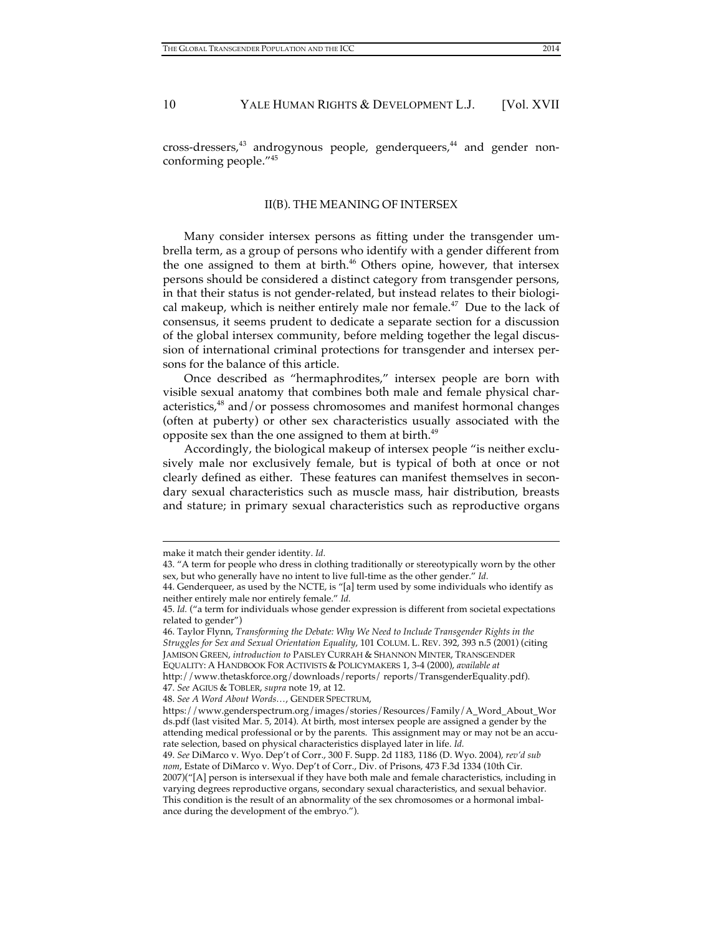cross-dressers,<sup>43</sup> androgynous people, genderqueers,<sup>44</sup> and gender nonconforming people."45

#### II(B). THE MEANING OF INTERSEX

Many consider intersex persons as fitting under the transgender umbrella term, as a group of persons who identify with a gender different from the one assigned to them at birth. 46 Others opine, however, that intersex persons should be considered a distinct category from transgender persons, in that their status is not gender-related, but instead relates to their biological makeup, which is neither entirely male nor female. $47$  Due to the lack of consensus, it seems prudent to dedicate a separate section for a discussion of the global intersex community, before melding together the legal discussion of international criminal protections for transgender and intersex persons for the balance of this article.

Once described as "hermaphrodites," intersex people are born with visible sexual anatomy that combines both male and female physical characteristics,<sup>48</sup> and/or possess chromosomes and manifest hormonal changes (often at puberty) or other sex characteristics usually associated with the opposite sex than the one assigned to them at birth.<sup>49</sup>

Accordingly, the biological makeup of intersex people "is neither exclusively male nor exclusively female, but is typical of both at once or not clearly defined as either. These features can manifest themselves in secondary sexual characteristics such as muscle mass, hair distribution, breasts and stature; in primary sexual characteristics such as reproductive organs

 $\overline{a}$ 

http://www.thetaskforce.org/downloads/reports/ reports/TransgenderEquality.pdf). 47. *See* AGIUS & TOBLER, *supra* note 19, at 12.

make it match their gender identity. *Id.*

<sup>43. &</sup>quot;A term for people who dress in clothing traditionally or stereotypically worn by the other sex, but who generally have no intent to live full-time as the other gender." *Id.*

<sup>44.</sup> Genderqueer, as used by the NCTE, is "[a] term used by some individuals who identify as neither entirely male nor entirely female." *Id.*

<sup>45.</sup> *Id.* ("a term for individuals whose gender expression is different from societal expectations related to gender")

<sup>46.</sup> Taylor Flynn, *Transforming the Debate: Why We Need to Include Transgender Rights in the Struggles for Sex and Sexual Orientation Equality*, 101 COLUM. L. REV. 392, 393 n.5 (2001) (citing JAMISON GREEN, *introduction to* PAISLEY CURRAH & SHANNON MINTER, TRANSGENDER EQUALITY: A HANDBOOK FOR ACTIVISTS & POLICYMAKERS 1, 3-4 (2000), *available at*

<sup>48.</sup> *See A Word About Words…*, GENDER SPECTRUM,

https://www.genderspectrum.org/images/stories/Resources/Family/A\_Word\_About\_Wor ds.pdf (last visited Mar. 5, 2014). At birth, most intersex people are assigned a gender by the attending medical professional or by the parents. This assignment may or may not be an accurate selection, based on physical characteristics displayed later in life. *Id.*

<sup>49.</sup> *See* DiMarco v. Wyo. Dep't of Corr., 300 F. Supp. 2d 1183, 1186 (D. Wyo. 2004), *rev'd sub nom*, Estate of DiMarco v. Wyo. Dep't of Corr., Div. of Prisons, 473 F.3d 1334 (10th Cir. 2007)("[A] person is intersexual if they have both male and female characteristics, including in varying degrees reproductive organs, secondary sexual characteristics, and sexual behavior. This condition is the result of an abnormality of the sex chromosomes or a hormonal imbalance during the development of the embryo.").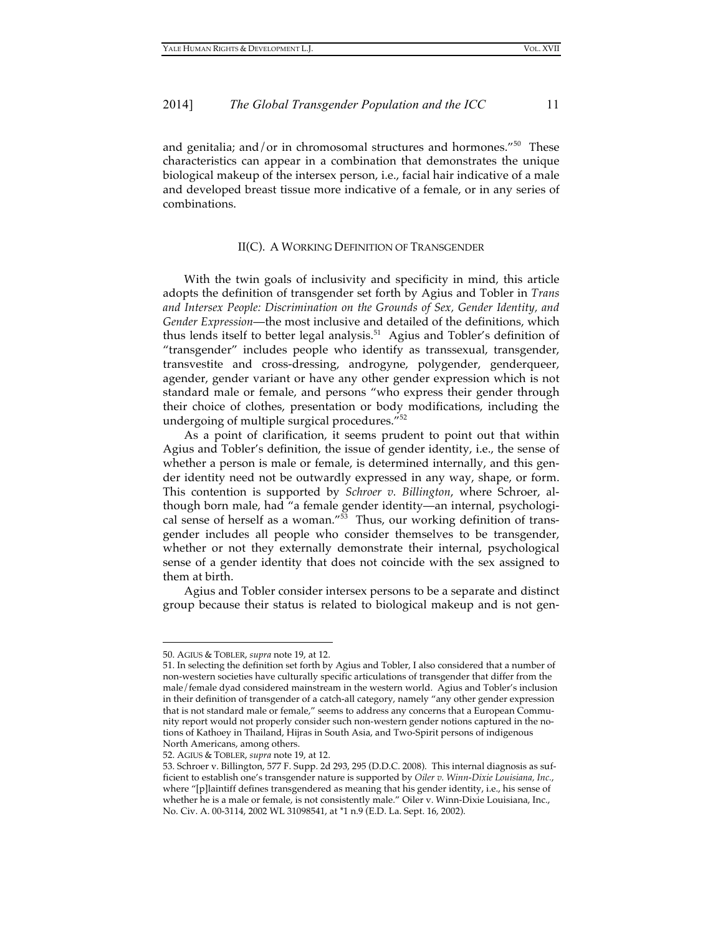and genitalia; and/or in chromosomal structures and hormones."<sup>50</sup> These characteristics can appear in a combination that demonstrates the unique biological makeup of the intersex person, i.e., facial hair indicative of a male and developed breast tissue more indicative of a female, or in any series of combinations.

#### II(C). A WORKING DEFINITION OF TRANSGENDER

With the twin goals of inclusivity and specificity in mind, this article adopts the definition of transgender set forth by Agius and Tobler in *Trans and Intersex People: Discrimination on the Grounds of Sex, Gender Identity, and Gender Expression*—the most inclusive and detailed of the definitions, which thus lends itself to better legal analysis. 51 Agius and Tobler's definition of "transgender" includes people who identify as transsexual, transgender, transvestite and cross-dressing, androgyne, polygender, genderqueer, agender, gender variant or have any other gender expression which is not standard male or female, and persons "who express their gender through their choice of clothes, presentation or body modifications, including the undergoing of multiple surgical procedures."52

As a point of clarification, it seems prudent to point out that within Agius and Tobler's definition, the issue of gender identity, i.e., the sense of whether a person is male or female, is determined internally, and this gender identity need not be outwardly expressed in any way, shape, or form. This contention is supported by *Schroer v. Billington*, where Schroer, although born male, had "a female gender identity—an internal, psychological sense of herself as a woman." $\overline{53}$  Thus, our working definition of transgender includes all people who consider themselves to be transgender, whether or not they externally demonstrate their internal, psychological sense of a gender identity that does not coincide with the sex assigned to them at birth.

Agius and Tobler consider intersex persons to be a separate and distinct group because their status is related to biological makeup and is not gen-

<sup>50.</sup> AGIUS & TOBLER, *supra* note 19, at 12.

<sup>51.</sup> In selecting the definition set forth by Agius and Tobler, I also considered that a number of non-western societies have culturally specific articulations of transgender that differ from the male/female dyad considered mainstream in the western world. Agius and Tobler's inclusion in their definition of transgender of a catch-all category, namely "any other gender expression that is not standard male or female," seems to address any concerns that a European Community report would not properly consider such non-western gender notions captured in the notions of Kathoey in Thailand, Hijras in South Asia, and Two-Spirit persons of indigenous North Americans, among others.

<sup>52.</sup> AGIUS & TOBLER, *supra* note 19, at 12.

<sup>53.</sup> Schroer v. Billington, 577 F. Supp. 2d 293, 295 (D.D.C. 2008). This internal diagnosis as sufficient to establish one's transgender nature is supported by *Oiler v. Winn-Dixie Louisiana, Inc.*, where "[p]laintiff defines transgendered as meaning that his gender identity, i.e., his sense of whether he is a male or female, is not consistently male." Oiler v. Winn-Dixie Louisiana, Inc., No. Civ. A. 00-3114, 2002 WL 31098541, at \*1 n.9 (E.D. La. Sept. 16, 2002).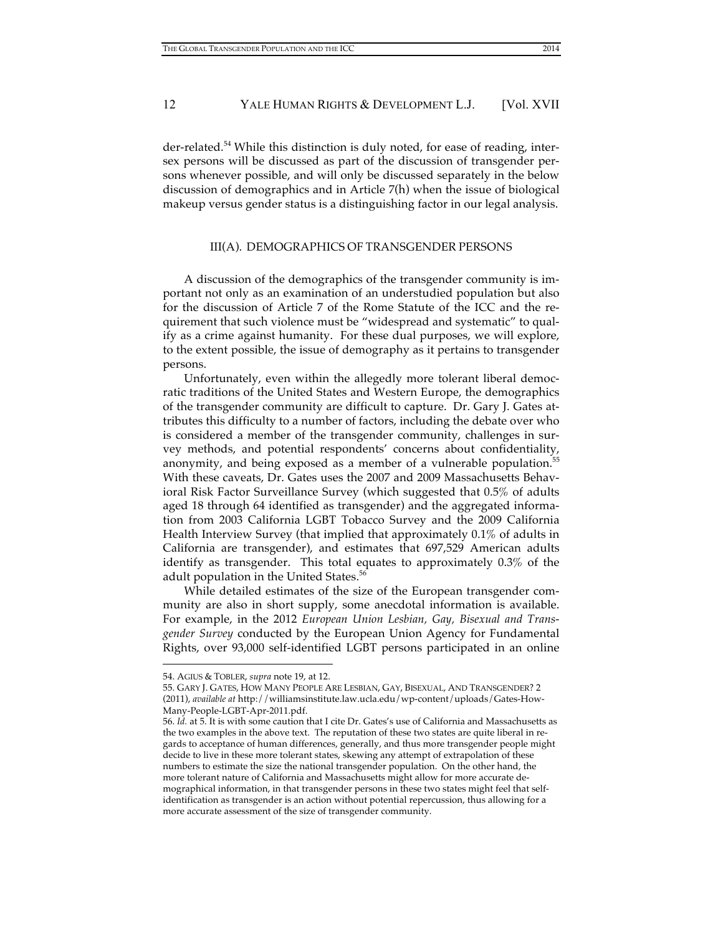der-related. 54 While this distinction is duly noted, for ease of reading, intersex persons will be discussed as part of the discussion of transgender persons whenever possible, and will only be discussed separately in the below discussion of demographics and in Article 7(h) when the issue of biological makeup versus gender status is a distinguishing factor in our legal analysis.

### III(A). DEMOGRAPHICS OF TRANSGENDER PERSONS

A discussion of the demographics of the transgender community is important not only as an examination of an understudied population but also for the discussion of Article 7 of the Rome Statute of the ICC and the requirement that such violence must be "widespread and systematic" to qualify as a crime against humanity. For these dual purposes, we will explore, to the extent possible, the issue of demography as it pertains to transgender persons.

Unfortunately, even within the allegedly more tolerant liberal democratic traditions of the United States and Western Europe, the demographics of the transgender community are difficult to capture. Dr. Gary J. Gates attributes this difficulty to a number of factors, including the debate over who is considered a member of the transgender community, challenges in survey methods, and potential respondents' concerns about confidentiality, anonymity, and being exposed as a member of a vulnerable population. 55 With these caveats, Dr. Gates uses the 2007 and 2009 Massachusetts Behavioral Risk Factor Surveillance Survey (which suggested that 0.5% of adults aged 18 through 64 identified as transgender) and the aggregated information from 2003 California LGBT Tobacco Survey and the 2009 California Health Interview Survey (that implied that approximately 0.1% of adults in California are transgender), and estimates that 697,529 American adults identify as transgender. This total equates to approximately 0.3% of the adult population in the United States. 56

While detailed estimates of the size of the European transgender community are also in short supply, some anecdotal information is available. For example, in the 2012 *European Union Lesbian, Gay, Bisexual and Transgender Survey* conducted by the European Union Agency for Fundamental Rights, over 93,000 self-identified LGBT persons participated in an online

<sup>54.</sup> AGIUS & TOBLER, *supra* note 19, at 12.

<sup>55.</sup> GARY J. GATES, HOW MANY PEOPLE ARE LESBIAN, GAY, BISEXUAL, AND TRANSGENDER? 2 (2011), *available at* http://williamsinstitute.law.ucla.edu/wp-content/uploads/Gates-How-Many-People-LGBT-Apr-2011.pdf.

<sup>56.</sup> *Id.* at 5. It is with some caution that I cite Dr. Gates's use of California and Massachusetts as the two examples in the above text. The reputation of these two states are quite liberal in regards to acceptance of human differences, generally, and thus more transgender people might decide to live in these more tolerant states, skewing any attempt of extrapolation of these numbers to estimate the size the national transgender population. On the other hand, the more tolerant nature of California and Massachusetts might allow for more accurate demographical information, in that transgender persons in these two states might feel that selfidentification as transgender is an action without potential repercussion, thus allowing for a more accurate assessment of the size of transgender community.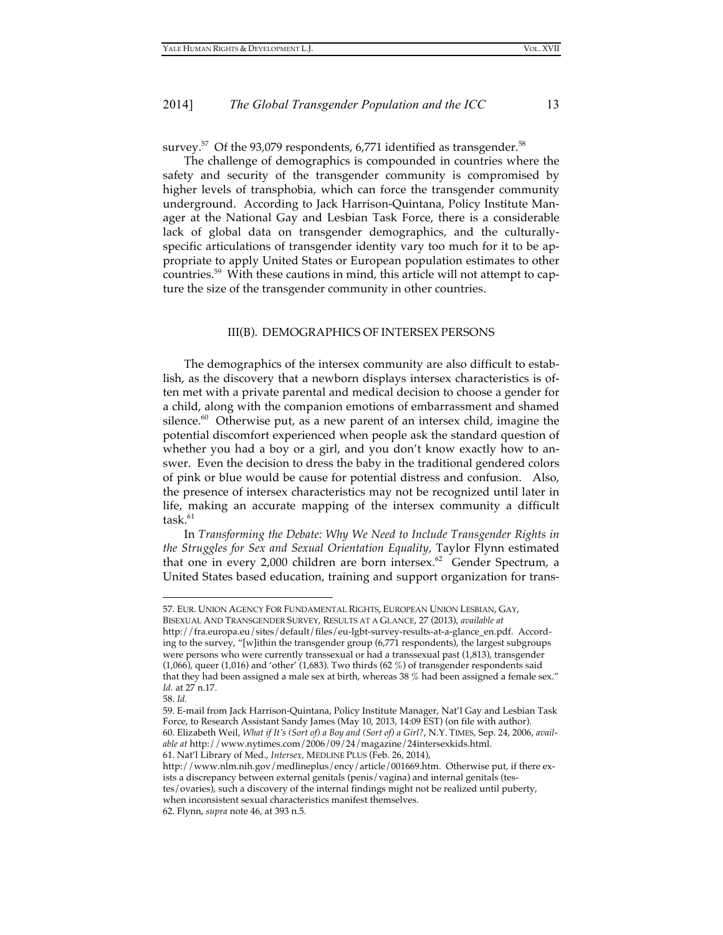survey. $^{57}$  Of the 93,079 respondents, 6,771 identified as transgender. $^{58}$ 

The challenge of demographics is compounded in countries where the safety and security of the transgender community is compromised by higher levels of transphobia, which can force the transgender community underground. According to Jack Harrison-Quintana, Policy Institute Manager at the National Gay and Lesbian Task Force, there is a considerable lack of global data on transgender demographics, and the culturallyspecific articulations of transgender identity vary too much for it to be appropriate to apply United States or European population estimates to other countries. 59 With these cautions in mind, this article will not attempt to capture the size of the transgender community in other countries.

#### III(B). DEMOGRAPHICS OF INTERSEX PERSONS

The demographics of the intersex community are also difficult to establish, as the discovery that a newborn displays intersex characteristics is often met with a private parental and medical decision to choose a gender for a child, along with the companion emotions of embarrassment and shamed silence.<sup>60</sup> Otherwise put, as a new parent of an intersex child, imagine the potential discomfort experienced when people ask the standard question of whether you had a boy or a girl, and you don't know exactly how to answer. Even the decision to dress the baby in the traditional gendered colors of pink or blue would be cause for potential distress and confusion. Also, the presence of intersex characteristics may not be recognized until later in life, making an accurate mapping of the intersex community a difficult task. 61

In *Transforming the Debate: Why We Need to Include Transgender Rights in the Struggles for Sex and Sexual Orientation Equality*, Taylor Flynn estimated that one in every 2,000 children are born intersex.<sup>62</sup> Gender Spectrum, a United States based education, training and support organization for trans-

<sup>57.</sup> EUR. UNION AGENCY FOR FUNDAMENTAL RIGHTS, EUROPEAN UNION LESBIAN, GAY, BISEXUAL AND TRANSGENDER SURVEY, RESULTS AT A GLANCE, 27 (2013), *available at* http://fra.europa.eu/sites/default/files/eu-lgbt-survey-results-at-a-glance\_en.pdf. According to the survey, "[w]ithin the transgender group (6,771 respondents), the largest subgroups were persons who were currently transsexual or had a transsexual past (1,813), transgender  $(1,066)$ , queer  $(1,016)$  and 'other'  $(1,683)$ . Two thirds  $(62\%)$  of transgender respondents said that they had been assigned a male sex at birth, whereas 38 % had been assigned a female sex." *Id.* at 27 n.17.

<sup>58.</sup> *Id.*

<sup>59.</sup> E-mail from Jack Harrison-Quintana, Policy Institute Manager, Nat'l Gay and Lesbian Task Force, to Research Assistant Sandy James (May 10, 2013, 14:09 EST) (on file with author). 60. Elizabeth Weil, *What if It's (Sort of) a Boy and (Sort of) a Girl?*, N.Y. TIMES, Sep. 24, 2006, *available at* http://www.nytimes.com/2006/09/24/magazine/24intersexkids.html. 61. Nat'l Library of Med., *Intersex,* MEDLINE PLUS (Feb. 26, 2014),

http://www.nlm.nih.gov/medlineplus/ency/article/001669.htm. Otherwise put, if there exists a discrepancy between external genitals (penis/vagina) and internal genitals (testes/ovaries), such a discovery of the internal findings might not be realized until puberty, when inconsistent sexual characteristics manifest themselves.

<sup>62.</sup> Flynn, *supra* note 46, at 393 n.5.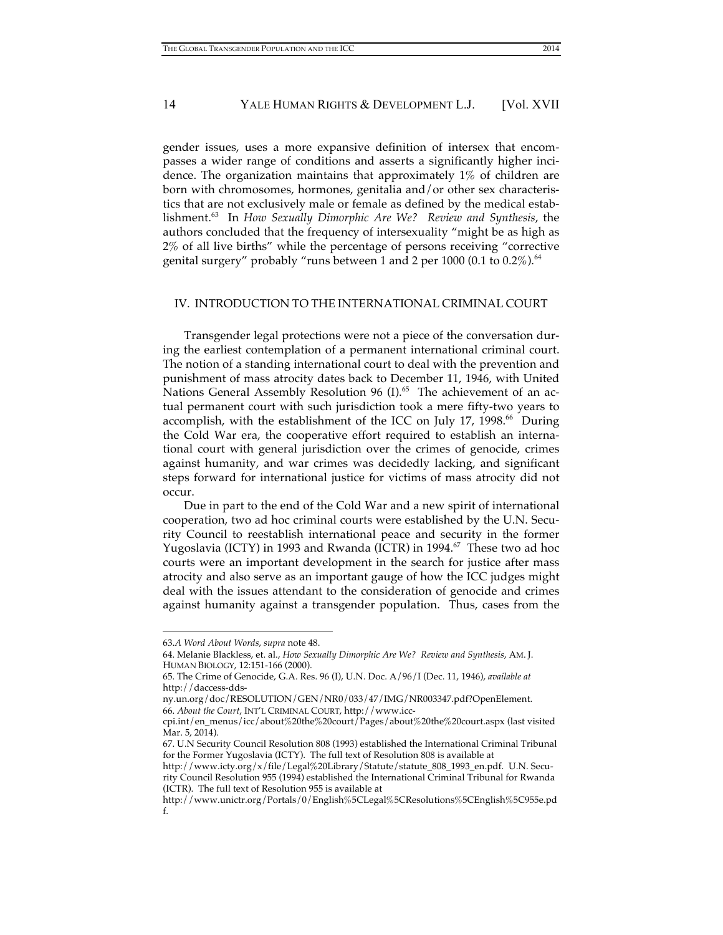gender issues, uses a more expansive definition of intersex that encompasses a wider range of conditions and asserts a significantly higher incidence. The organization maintains that approximately 1% of children are born with chromosomes, hormones, genitalia and/or other sex characteristics that are not exclusively male or female as defined by the medical establishment. 63 In *How Sexually Dimorphic Are We? Review and Synthesis*, the authors concluded that the frequency of intersexuality "might be as high as 2% of all live births" while the percentage of persons receiving "corrective genital surgery" probably "runs between 1 and 2 per 1000 (0.1 to 0.2%). $^{64}$ 

#### IV. INTRODUCTION TO THE INTERNATIONAL CRIMINAL COURT

Transgender legal protections were not a piece of the conversation during the earliest contemplation of a permanent international criminal court. The notion of a standing international court to deal with the prevention and punishment of mass atrocity dates back to December 11, 1946, with United Nations General Assembly Resolution 96 (I).<sup>65</sup> The achievement of an actual permanent court with such jurisdiction took a mere fifty-two years to accomplish, with the establishment of the ICC on July 17, 1998.<sup>66</sup> During the Cold War era, the cooperative effort required to establish an international court with general jurisdiction over the crimes of genocide, crimes against humanity, and war crimes was decidedly lacking, and significant steps forward for international justice for victims of mass atrocity did not occur.

Due in part to the end of the Cold War and a new spirit of international cooperation, two ad hoc criminal courts were established by the U.N. Security Council to reestablish international peace and security in the former Yugoslavia (ICTY) in 1993 and Rwanda (ICTR) in 1994. 67 These two ad hoc courts were an important development in the search for justice after mass atrocity and also serve as an important gauge of how the ICC judges might deal with the issues attendant to the consideration of genocide and crimes against humanity against a transgender population. Thus, cases from the

<sup>63.</sup>*A Word About Words*, *supra* note 48.

<sup>64.</sup> Melanie Blackless, et. al., *How Sexually Dimorphic Are We? Review and Synthesis*, AM. J. HUMAN BIOLOGY, 12:151-166 (2000).

<sup>65.</sup> The Crime of Genocide, G.A. Res. 96 (I), U.N. Doc. A/96/I (Dec. 11, 1946), *available at* http://daccess-dds-

ny.un.org/doc/RESOLUTION/GEN/NR0/033/47/IMG/NR003347.pdf?OpenElement. 66. *About the Court*, INT'L CRIMINAL COURT, http://www.icc-

cpi.int/en\_menus/icc/about%20the%20court/Pages/about%20the%20court.aspx (last visited Mar. 5, 2014).

<sup>67.</sup> U.N Security Council Resolution 808 (1993) established the International Criminal Tribunal for the Former Yugoslavia (ICTY). The full text of Resolution 808 is available at

http://www.icty.org/x/file/Legal%20Library/Statute/statute\_808\_1993\_en.pdf. U.N. Security Council Resolution 955 (1994) established the International Criminal Tribunal for Rwanda (ICTR). The full text of Resolution 955 is available at

http://www.unictr.org/Portals/0/English%5CLegal%5CResolutions%5CEnglish%5C955e.pd f.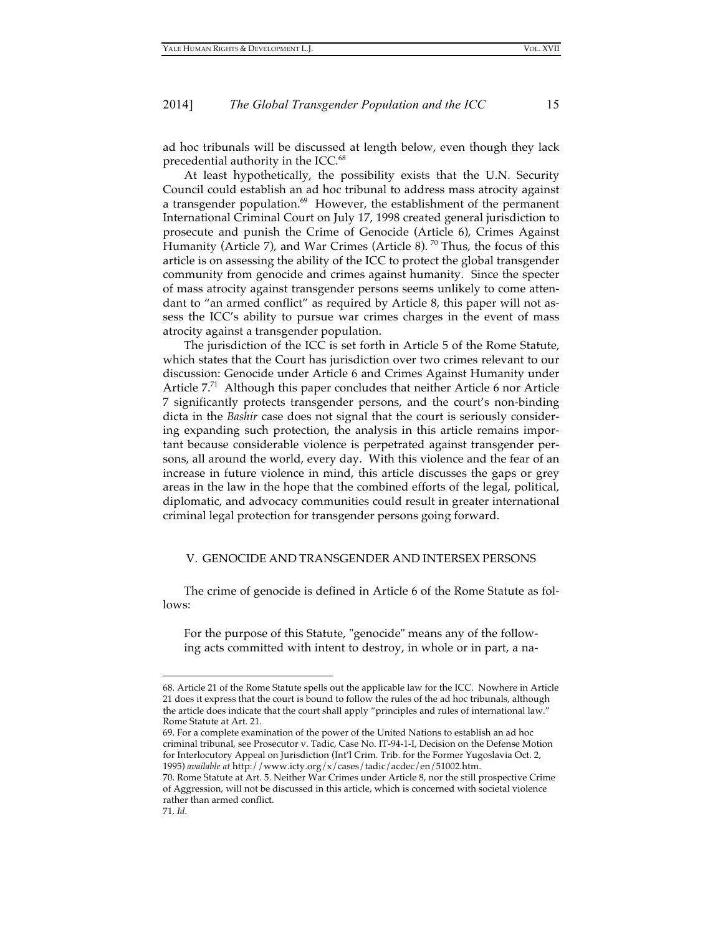ad hoc tribunals will be discussed at length below, even though they lack precedential authority in the ICC. 68

At least hypothetically, the possibility exists that the U.N. Security Council could establish an ad hoc tribunal to address mass atrocity against a transgender population.<sup>69</sup> However, the establishment of the permanent International Criminal Court on July 17, 1998 created general jurisdiction to prosecute and punish the Crime of Genocide (Article 6), Crimes Against Humanity (Article 7), and War Crimes (Article 8).<sup>70</sup> Thus, the focus of this article is on assessing the ability of the ICC to protect the global transgender community from genocide and crimes against humanity. Since the specter of mass atrocity against transgender persons seems unlikely to come attendant to "an armed conflict" as required by Article 8, this paper will not assess the ICC's ability to pursue war crimes charges in the event of mass atrocity against a transgender population.

The jurisdiction of the ICC is set forth in Article 5 of the Rome Statute, which states that the Court has jurisdiction over two crimes relevant to our discussion: Genocide under Article 6 and Crimes Against Humanity under Article 7.<sup>71</sup> Although this paper concludes that neither Article 6 nor Article 7 significantly protects transgender persons, and the court's non-binding dicta in the *Bashir* case does not signal that the court is seriously considering expanding such protection, the analysis in this article remains important because considerable violence is perpetrated against transgender persons, all around the world, every day. With this violence and the fear of an increase in future violence in mind, this article discusses the gaps or grey areas in the law in the hope that the combined efforts of the legal, political, diplomatic, and advocacy communities could result in greater international criminal legal protection for transgender persons going forward.

#### V. GENOCIDE AND TRANSGENDER AND INTERSEX PERSONS

The crime of genocide is defined in Article 6 of the Rome Statute as follows:

For the purpose of this Statute, "genocide" means any of the following acts committed with intent to destroy, in whole or in part, a na-

<sup>68.</sup> Article 21 of the Rome Statute spells out the applicable law for the ICC. Nowhere in Article 21 does it express that the court is bound to follow the rules of the ad hoc tribunals, although the article does indicate that the court shall apply "principles and rules of international law." Rome Statute at Art. 21.

<sup>69.</sup> For a complete examination of the power of the United Nations to establish an ad hoc criminal tribunal, see Prosecutor v. Tadic, Case No. IT-94-1-I, Decision on the Defense Motion for Interlocutory Appeal on Jurisdiction (Int'l Crim. Trib. for the Former Yugoslavia Oct. 2, 1995) *available at* http://www.icty.org/x/cases/tadic/acdec/en/51002.htm.

<sup>70.</sup> Rome Statute at Art. 5. Neither War Crimes under Article 8, nor the still prospective Crime of Aggression, will not be discussed in this article, which is concerned with societal violence rather than armed conflict.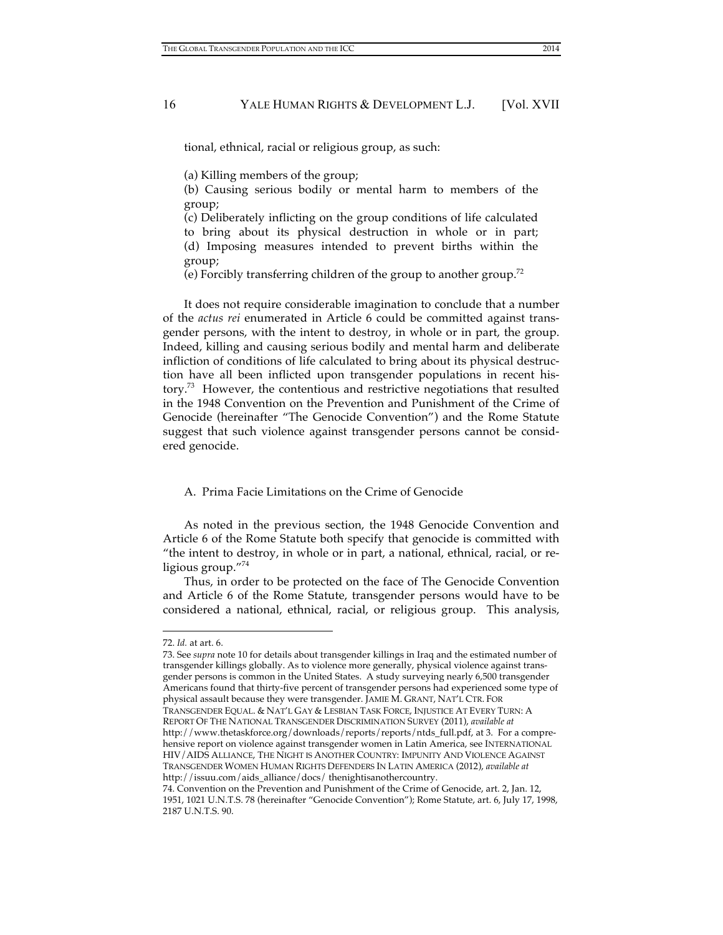tional, ethnical, racial or religious group, as such:

(a) Killing members of the group;

(b) Causing serious bodily or mental harm to members of the group;

(c) Deliberately inflicting on the group conditions of life calculated to bring about its physical destruction in whole or in part; (d) Imposing measures intended to prevent births within the group;

(e) Forcibly transferring children of the group to another group. 72

It does not require considerable imagination to conclude that a number of the *actus rei* enumerated in Article 6 could be committed against transgender persons, with the intent to destroy, in whole or in part, the group. Indeed, killing and causing serious bodily and mental harm and deliberate infliction of conditions of life calculated to bring about its physical destruction have all been inflicted upon transgender populations in recent history.<sup>73</sup> However, the contentious and restrictive negotiations that resulted in the 1948 Convention on the Prevention and Punishment of the Crime of Genocide (hereinafter "The Genocide Convention") and the Rome Statute suggest that such violence against transgender persons cannot be considered genocide.

# A. Prima Facie Limitations on the Crime of Genocide

As noted in the previous section, the 1948 Genocide Convention and Article 6 of the Rome Statute both specify that genocide is committed with "the intent to destroy, in whole or in part, a national, ethnical, racial, or religious group."<sup>74</sup>

Thus, in order to be protected on the face of The Genocide Convention and Article 6 of the Rome Statute, transgender persons would have to be considered a national, ethnical, racial, or religious group. This analysis,

 $\overline{a}$ 

73. See *supra* note 10 for details about transgender killings in Iraq and the estimated number of transgender killings globally. As to violence more generally, physical violence against transgender persons is common in the United States. A study surveying nearly 6,500 transgender Americans found that thirty-five percent of transgender persons had experienced some type of physical assault because they were transgender. JAMIE M. GRANT, NAT'L CTR. FOR TRANSGENDER EQUAL. & NAT'L GAY & LESBIAN TASK FORCE, INJUSTICE AT EVERY TURN: A REPORT OF THE NATIONAL TRANSGENDER DISCRIMINATION SURVEY (2011), *available at* http://www.thetaskforce.org/downloads/reports/reports/ntds\_full.pdf, at 3. For a comprehensive report on violence against transgender women in Latin America, see INTERNATIONAL HIV/AIDS ALLIANCE, THE NIGHT IS ANOTHER COUNTRY: IMPUNITY AND VIOLENCE AGAINST TRANSGENDER WOMEN HUMAN RIGHTS DEFENDERS IN LATIN AMERICA (2012), *available at* http://issuu.com/aids\_alliance/docs/ thenightisanothercountry.

74. Convention on the Prevention and Punishment of the Crime of Genocide, art. 2, Jan. 12, 1951, 1021 U.N.T.S. 78 (hereinafter "Genocide Convention"); Rome Statute, art. 6, July 17, 1998, 2187 U.N.T.S. 90.

<sup>72.</sup> *Id.* at art. 6.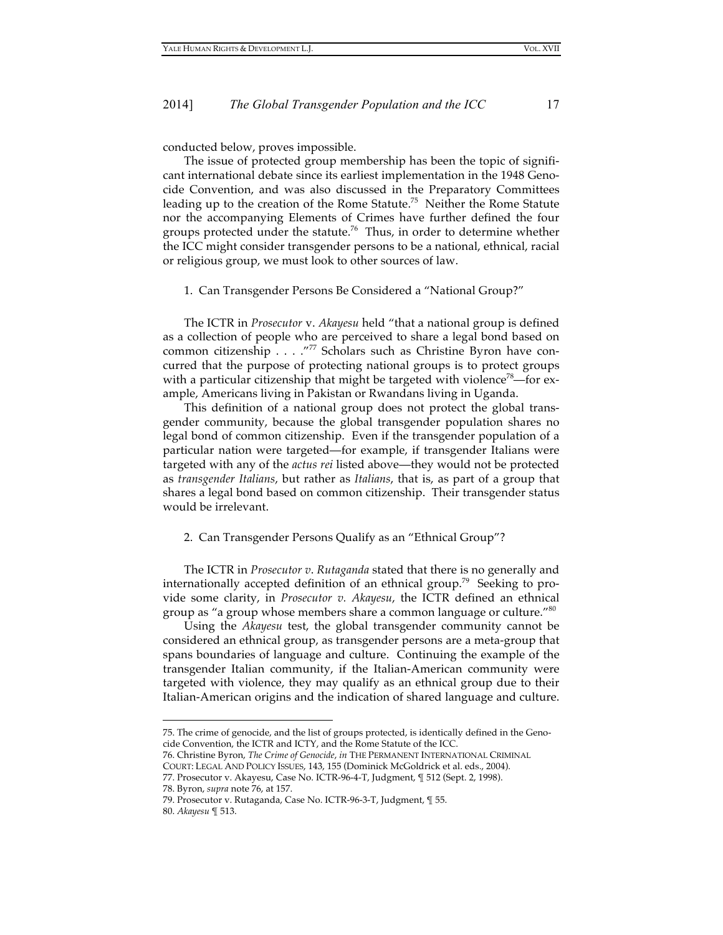conducted below, proves impossible.

The issue of protected group membership has been the topic of significant international debate since its earliest implementation in the 1948 Genocide Convention, and was also discussed in the Preparatory Committees leading up to the creation of the Rome Statute.<sup>75</sup> Neither the Rome Statute nor the accompanying Elements of Crimes have further defined the four groups protected under the statute.<sup>76</sup> Thus, in order to determine whether the ICC might consider transgender persons to be a national, ethnical, racial or religious group, we must look to other sources of law.

1. Can Transgender Persons Be Considered a "National Group?"

The ICTR in *Prosecutor* v. *Akayesu* held "that a national group is defined as a collection of people who are perceived to share a legal bond based on common citizenship . . . . "77 Scholars such as Christine Byron have concurred that the purpose of protecting national groups is to protect groups with a particular citizenship that might be targeted with violence<sup> $\delta$ 8</sup>—for example, Americans living in Pakistan or Rwandans living in Uganda.

This definition of a national group does not protect the global transgender community, because the global transgender population shares no legal bond of common citizenship. Even if the transgender population of a particular nation were targeted—for example, if transgender Italians were targeted with any of the *actus rei* listed above—they would not be protected as *transgender Italians*, but rather as *Italians*, that is, as part of a group that shares a legal bond based on common citizenship. Their transgender status would be irrelevant.

#### 2. Can Transgender Persons Qualify as an "Ethnical Group"?

The ICTR in *Prosecutor v*. *Rutaganda* stated that there is no generally and internationally accepted definition of an ethnical group.<sup>79</sup> Seeking to provide some clarity, in *Prosecutor v. Akayesu*, the ICTR defined an ethnical group as "a group whose members share a common language or culture."<sup>80</sup>

Using the *Akayesu* test, the global transgender community cannot be considered an ethnical group, as transgender persons are a meta-group that spans boundaries of language and culture. Continuing the example of the transgender Italian community, if the Italian-American community were targeted with violence, they may qualify as an ethnical group due to their Italian-American origins and the indication of shared language and culture.

<sup>75.</sup> The crime of genocide, and the list of groups protected, is identically defined in the Genocide Convention, the ICTR and ICTY, and the Rome Statute of the ICC.

<sup>76.</sup> Christine Byron, *The Crime of Genocide*, *in* THE PERMANENT INTERNATIONAL CRIMINAL

COURT: LEGAL AND POLICY ISSUES, 143, 155 (Dominick McGoldrick et al. eds., 2004).

<sup>77.</sup> Prosecutor v. Akayesu, Case No. ICTR-96-4-T, Judgment, ¶ 512 (Sept. 2, 1998).

<sup>78.</sup> Byron, *supra* note 76, at 157.

<sup>79.</sup> Prosecutor v. Rutaganda, Case No. ICTR-96-3-T, Judgment, ¶ 55.

<sup>80.</sup> *Akayesu* ¶ 513.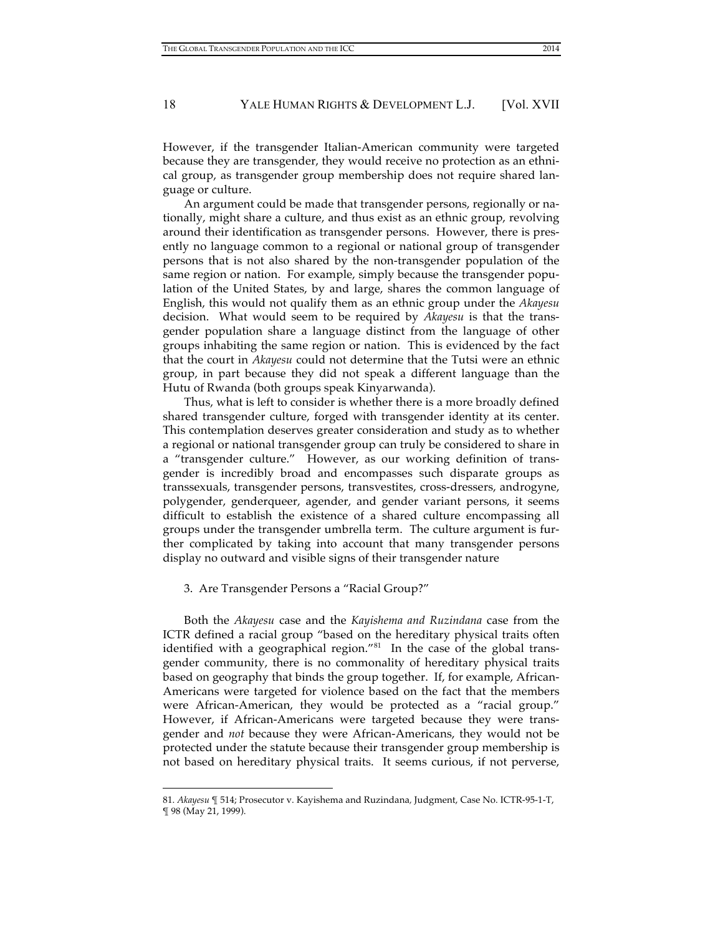However, if the transgender Italian-American community were targeted because they are transgender, they would receive no protection as an ethnical group, as transgender group membership does not require shared language or culture.

An argument could be made that transgender persons, regionally or nationally, might share a culture, and thus exist as an ethnic group, revolving around their identification as transgender persons. However, there is presently no language common to a regional or national group of transgender persons that is not also shared by the non-transgender population of the same region or nation. For example, simply because the transgender population of the United States, by and large, shares the common language of English, this would not qualify them as an ethnic group under the *Akayesu* decision. What would seem to be required by *Akayesu* is that the transgender population share a language distinct from the language of other groups inhabiting the same region or nation. This is evidenced by the fact that the court in *Akayesu* could not determine that the Tutsi were an ethnic group, in part because they did not speak a different language than the Hutu of Rwanda (both groups speak Kinyarwanda).

Thus, what is left to consider is whether there is a more broadly defined shared transgender culture, forged with transgender identity at its center. This contemplation deserves greater consideration and study as to whether a regional or national transgender group can truly be considered to share in a "transgender culture." However, as our working definition of transgender is incredibly broad and encompasses such disparate groups as transsexuals, transgender persons, transvestites, cross-dressers, androgyne, polygender, genderqueer, agender, and gender variant persons, it seems difficult to establish the existence of a shared culture encompassing all groups under the transgender umbrella term. The culture argument is further complicated by taking into account that many transgender persons display no outward and visible signs of their transgender nature

#### 3. Are Transgender Persons a "Racial Group?"

 $\overline{a}$ 

Both the *Akayesu* case and the *Kayishema and Ruzindana* case from the ICTR defined a racial group "based on the hereditary physical traits often identified with a geographical region."<sup>81</sup> In the case of the global transgender community, there is no commonality of hereditary physical traits based on geography that binds the group together. If, for example, African-Americans were targeted for violence based on the fact that the members were African-American, they would be protected as a "racial group." However, if African-Americans were targeted because they were transgender and *not* because they were African-Americans, they would not be protected under the statute because their transgender group membership is not based on hereditary physical traits. It seems curious, if not perverse,

<sup>81.</sup> *Akayesu* ¶ 514; Prosecutor v. Kayishema and Ruzindana*,* Judgment, Case No. ICTR-95-1-T, ¶ 98 (May 21, 1999).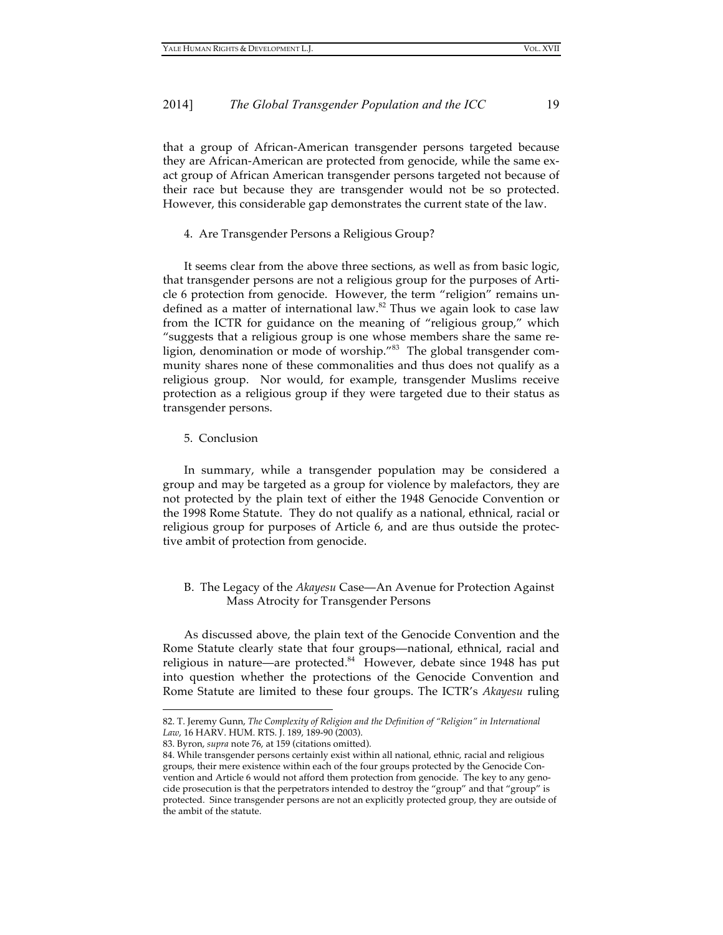that a group of African-American transgender persons targeted because they are African-American are protected from genocide, while the same exact group of African American transgender persons targeted not because of their race but because they are transgender would not be so protected. However, this considerable gap demonstrates the current state of the law.

4. Are Transgender Persons a Religious Group?

It seems clear from the above three sections, as well as from basic logic, that transgender persons are not a religious group for the purposes of Article 6 protection from genocide. However, the term "religion" remains undefined as a matter of international law.<sup>82</sup> Thus we again look to case law from the ICTR for guidance on the meaning of "religious group," which "suggests that a religious group is one whose members share the same religion, denomination or mode of worship."<sup>83</sup> The global transgender community shares none of these commonalities and thus does not qualify as a religious group. Nor would, for example, transgender Muslims receive protection as a religious group if they were targeted due to their status as transgender persons.

5. Conclusion

In summary, while a transgender population may be considered a group and may be targeted as a group for violence by malefactors, they are not protected by the plain text of either the 1948 Genocide Convention or the 1998 Rome Statute. They do not qualify as a national, ethnical, racial or religious group for purposes of Article 6, and are thus outside the protective ambit of protection from genocide.

# B. The Legacy of the *Akayesu* Case—An Avenue for Protection Against Mass Atrocity for Transgender Persons

As discussed above, the plain text of the Genocide Convention and the Rome Statute clearly state that four groups—national, ethnical, racial and religious in nature—are protected.<sup>84</sup> However, debate since 1948 has put into question whether the protections of the Genocide Convention and Rome Statute are limited to these four groups. The ICTR's *Akayesu* ruling

<sup>82.</sup> T. Jeremy Gunn, *The Complexity of Religion and the Definition of "Religion" in International Law*, 16 HARV. HUM. RTS. J. 189, 189-90 (2003).

<sup>83.</sup> Byron, *supra* note 76, at 159 (citations omitted).

<sup>84.</sup> While transgender persons certainly exist within all national, ethnic, racial and religious groups, their mere existence within each of the four groups protected by the Genocide Convention and Article 6 would not afford them protection from genocide. The key to any genocide prosecution is that the perpetrators intended to destroy the "group" and that "group" is protected. Since transgender persons are not an explicitly protected group, they are outside of the ambit of the statute.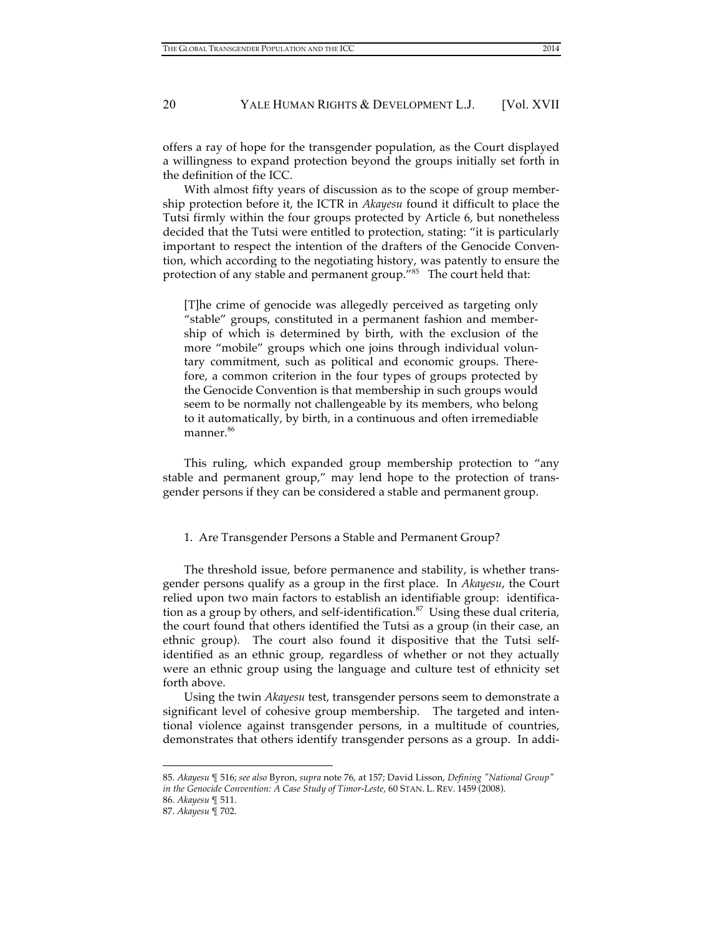offers a ray of hope for the transgender population, as the Court displayed a willingness to expand protection beyond the groups initially set forth in the definition of the ICC.

With almost fifty years of discussion as to the scope of group membership protection before it, the ICTR in *Akayesu* found it difficult to place the Tutsi firmly within the four groups protected by Article 6, but nonetheless decided that the Tutsi were entitled to protection, stating: "it is particularly important to respect the intention of the drafters of the Genocide Convention, which according to the negotiating history, was patently to ensure the protection of any stable and permanent group."85 The court held that:

[T]he crime of genocide was allegedly perceived as targeting only "stable" groups, constituted in a permanent fashion and membership of which is determined by birth, with the exclusion of the more "mobile" groups which one joins through individual voluntary commitment, such as political and economic groups. Therefore, a common criterion in the four types of groups protected by the Genocide Convention is that membership in such groups would seem to be normally not challengeable by its members, who belong to it automatically, by birth, in a continuous and often irremediable manner. 86

This ruling, which expanded group membership protection to "any stable and permanent group," may lend hope to the protection of transgender persons if they can be considered a stable and permanent group.

#### 1. Are Transgender Persons a Stable and Permanent Group?

The threshold issue, before permanence and stability, is whether transgender persons qualify as a group in the first place. In *Akayesu*, the Court relied upon two main factors to establish an identifiable group: identification as a group by others, and self-identification.<sup>87</sup> Using these dual criteria, the court found that others identified the Tutsi as a group (in their case, an ethnic group). The court also found it dispositive that the Tutsi selfidentified as an ethnic group, regardless of whether or not they actually were an ethnic group using the language and culture test of ethnicity set forth above.

Using the twin *Akayesu* test, transgender persons seem to demonstrate a significant level of cohesive group membership. The targeted and intentional violence against transgender persons, in a multitude of countries, demonstrates that others identify transgender persons as a group. In addi-

<sup>85.</sup> *Akayesu* ¶ 516; *see also* Byron, *supra* note 76, at 157; David Lisson, *Defining "National Group" in the Genocide Convention: A Case Study of Timor-Leste*, 60 STAN. L. REV. 1459 (2008).

<sup>86.</sup> *Akayesu* ¶ 511.

<sup>87.</sup> *Akayesu* ¶ 702.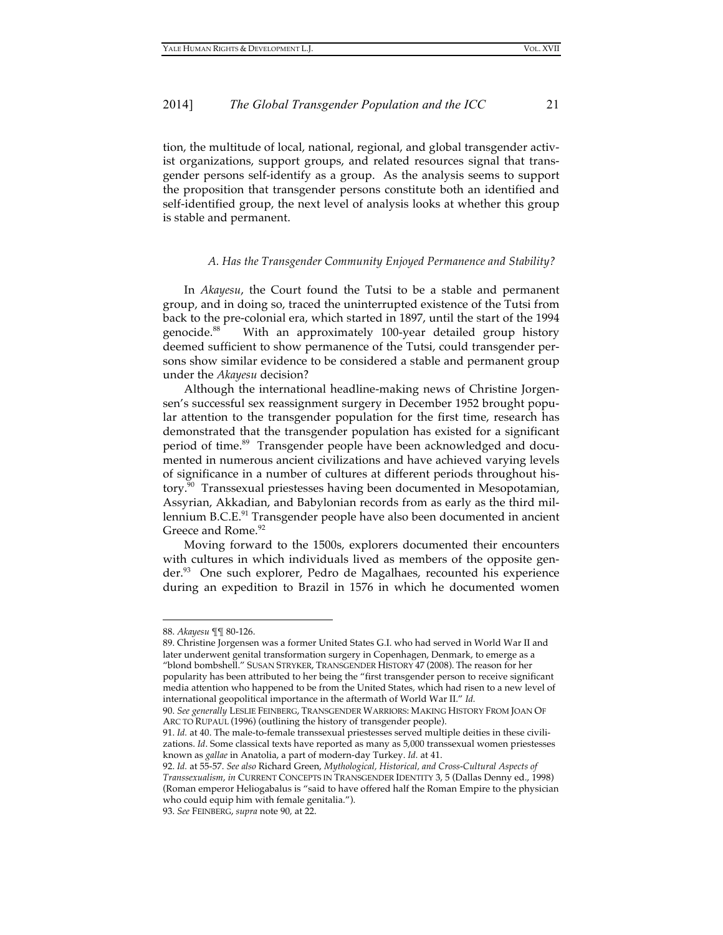tion, the multitude of local, national, regional, and global transgender activist organizations, support groups, and related resources signal that transgender persons self-identify as a group. As the analysis seems to support the proposition that transgender persons constitute both an identified and self-identified group, the next level of analysis looks at whether this group is stable and permanent.

#### *A. Has the Transgender Community Enjoyed Permanence and Stability?*

In *Akayesu*, the Court found the Tutsi to be a stable and permanent group, and in doing so, traced the uninterrupted existence of the Tutsi from back to the pre-colonial era, which started in 1897, until the start of the 1994 genocide. With an approximately 100-year detailed group history deemed sufficient to show permanence of the Tutsi, could transgender persons show similar evidence to be considered a stable and permanent group under the *Akayesu* decision?

Although the international headline-making news of Christine Jorgensen's successful sex reassignment surgery in December 1952 brought popular attention to the transgender population for the first time, research has demonstrated that the transgender population has existed for a significant period of time.<sup>89</sup> Transgender people have been acknowledged and documented in numerous ancient civilizations and have achieved varying levels of significance in a number of cultures at different periods throughout history.<sup>90</sup> Transsexual priestesses having been documented in Mesopotamian, Assyrian, Akkadian, and Babylonian records from as early as the third millennium B.C.E.<sup>91</sup> Transgender people have also been documented in ancient Greece and Rome.<sup>92</sup>

Moving forward to the 1500s, explorers documented their encounters with cultures in which individuals lived as members of the opposite gender. 93 One such explorer, Pedro de Magalhaes, recounted his experience during an expedition to Brazil in 1576 in which he documented women

<sup>88.</sup> *Akayesu* ¶¶ 80-126.

<sup>89.</sup> Christine Jorgensen was a former United States G.I. who had served in World War II and later underwent genital transformation surgery in Copenhagen, Denmark, to emerge as a "blond bombshell." SUSAN STRYKER, TRANSGENDER HISTORY 47 (2008). The reason for her popularity has been attributed to her being the "first transgender person to receive significant media attention who happened to be from the United States, which had risen to a new level of international geopolitical importance in the aftermath of World War II." *Id.* 

<sup>90.</sup> *See generally* LESLIE FEINBERG, TRANSGENDER WARRIORS: MAKING HISTORY FROM JOAN OF ARC TO RUPAUL (1996) (outlining the history of transgender people).

<sup>91.</sup> *Id.* at 40. The male-to-female transsexual priestesses served multiple deities in these civilizations. *Id*. Some classical texts have reported as many as 5,000 transsexual women priestesses known as *gallae* in Anatolia, a part of modern-day Turkey. *Id.* at 41.

<sup>92.</sup> *Id.* at 55-57. *See also* Richard Green, *Mythological, Historical, and Cross-Cultural Aspects of Transsexualism*, *in* CURRENT CONCEPTS IN TRANSGENDER IDENTITY 3, 5 (Dallas Denny ed., 1998) (Roman emperor Heliogabalus is "said to have offered half the Roman Empire to the physician who could equip him with female genitalia.").

<sup>93.</sup> *See* FEINBERG, *supra* note 90*,* at 22.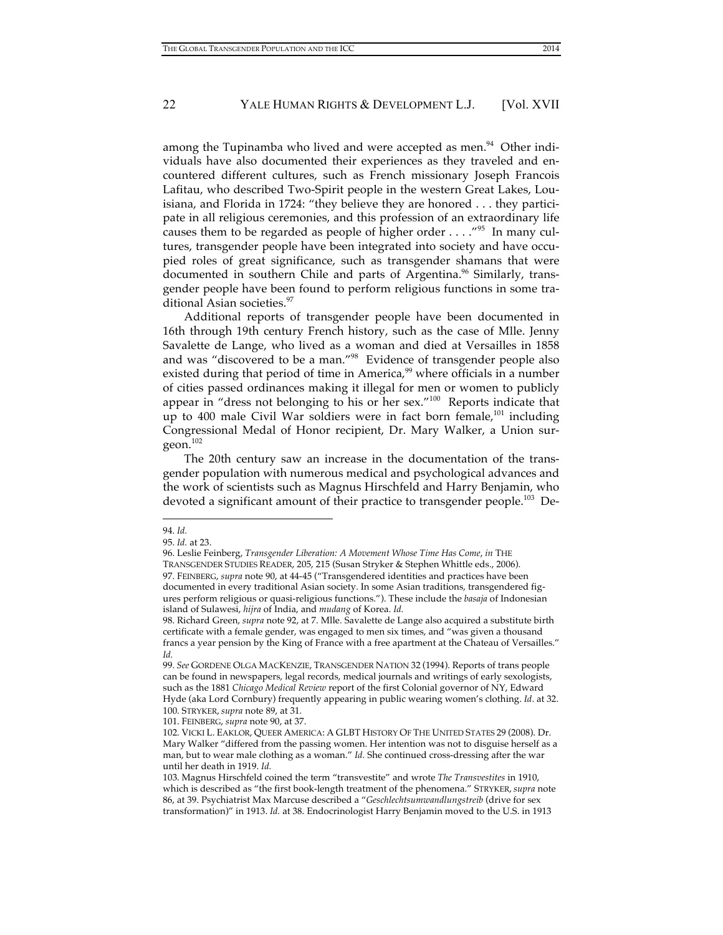among the Tupinamba who lived and were accepted as men. $94$  Other individuals have also documented their experiences as they traveled and encountered different cultures, such as French missionary Joseph Francois Lafitau, who described Two-Spirit people in the western Great Lakes, Louisiana, and Florida in 1724: "they believe they are honored . . . they participate in all religious ceremonies, and this profession of an extraordinary life causes them to be regarded as people of higher order  $\dots$ ."<sup>95</sup> In many cultures, transgender people have been integrated into society and have occupied roles of great significance, such as transgender shamans that were documented in southern Chile and parts of Argentina.<sup>96</sup> Similarly, transgender people have been found to perform religious functions in some traditional Asian societies.<sup>97</sup>

Additional reports of transgender people have been documented in 16th through 19th century French history, such as the case of Mlle. Jenny Savalette de Lange, who lived as a woman and died at Versailles in 1858 and was "discovered to be a man."98 Evidence of transgender people also existed during that period of time in America,<sup>99</sup> where officials in a number of cities passed ordinances making it illegal for men or women to publicly appear in "dress not belonging to his or her sex."<sup>100</sup> Reports indicate that up to 400 male Civil War soldiers were in fact born female,<sup>101</sup> including Congressional Medal of Honor recipient, Dr. Mary Walker, a Union surgeon.<sup>102</sup>

The 20th century saw an increase in the documentation of the transgender population with numerous medical and psychological advances and the work of scientists such as Magnus Hirschfeld and Harry Benjamin, who devoted a significant amount of their practice to transgender people.<sup>103</sup> De-

 $\overline{a}$ 

101. FEINBERG, *supra* note 90, at 37.

<sup>94.</sup> *Id.* 

<sup>95.</sup> *Id.* at 23.

<sup>96.</sup> Leslie Feinberg, *Transgender Liberation: A Movement Whose Time Has Come*, *in* THE TRANSGENDER STUDIES READER, 205, 215 (Susan Stryker & Stephen Whittle eds., 2006). 97. FEINBERG, *supra* note 90, at 44-45 ("Transgendered identities and practices have been documented in every traditional Asian society. In some Asian traditions, transgendered figures perform religious or quasi-religious functions."). These include the *basaja* of Indonesian island of Sulawesi, *hijra* of India, and *mudang* of Korea. *Id.*

<sup>98.</sup> Richard Green, *supra* note 92, at 7. Mlle. Savalette de Lange also acquired a substitute birth certificate with a female gender, was engaged to men six times, and "was given a thousand francs a year pension by the King of France with a free apartment at the Chateau of Versailles." *Id.*

<sup>99.</sup> *See* GORDENE OLGA MACKENZIE, TRANSGENDER NATION 32 (1994). Reports of trans people can be found in newspapers, legal records, medical journals and writings of early sexologists, such as the 1881 *Chicago Medical Review* report of the first Colonial governor of NY, Edward Hyde (aka Lord Cornbury) frequently appearing in public wearing women's clothing. *Id*. at 32. 100. STRYKER, *supra* note 89, at 31.

<sup>102.</sup> VICKI L. EAKLOR, QUEER AMERICA: A GLBT HISTORY OF THE UNITED STATES 29 (2008). Dr. Mary Walker "differed from the passing women. Her intention was not to disguise herself as a man, but to wear male clothing as a woman." *Id.* She continued cross-dressing after the war until her death in 1919. *Id.*

<sup>103.</sup> Magnus Hirschfeld coined the term "transvestite" and wrote *The Transvestites* in 1910, which is described as "the first book-length treatment of the phenomena." STRYKER, *supra* note 86, at 39. Psychiatrist Max Marcuse described a "*Geschlechtsumwandlungstreib* (drive for sex transformation)" in 1913. *Id.* at 38. Endocrinologist Harry Benjamin moved to the U.S. in 1913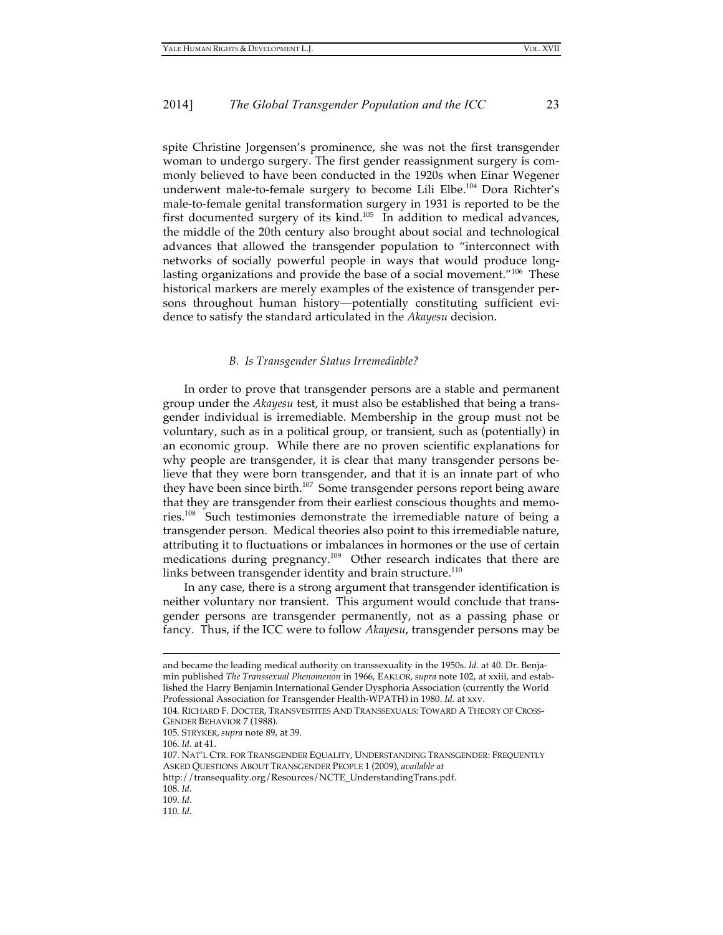spite Christine Jorgensen's prominence, she was not the first transgender woman to undergo surgery. The first gender reassignment surgery is commonly believed to have been conducted in the 1920s when Einar Wegener underwent male-to-female surgery to become Lili Elbe. 104 Dora Richter's male-to-female genital transformation surgery in 1931 is reported to be the first documented surgery of its kind.<sup>105</sup> In addition to medical advances, the middle of the 20th century also brought about social and technological advances that allowed the transgender population to "interconnect with networks of socially powerful people in ways that would produce longlasting organizations and provide the base of a social movement."<sup>106</sup> These historical markers are merely examples of the existence of transgender persons throughout human history—potentially constituting sufficient evidence to satisfy the standard articulated in the *Akayesu* decision.

#### *B. Is Transgender Status Irremediable?*

In order to prove that transgender persons are a stable and permanent group under the *Akayesu* test, it must also be established that being a transgender individual is irremediable. Membership in the group must not be voluntary, such as in a political group, or transient, such as (potentially) in an economic group. While there are no proven scientific explanations for why people are transgender, it is clear that many transgender persons believe that they were born transgender, and that it is an innate part of who they have been since birth.<sup>107</sup> Some transgender persons report being aware that they are transgender from their earliest conscious thoughts and memories.108 Such testimonies demonstrate the irremediable nature of being a transgender person. Medical theories also point to this irremediable nature, attributing it to fluctuations or imbalances in hormones or the use of certain medications during pregnancy.<sup>109</sup> Other research indicates that there are links between transgender identity and brain structure. $^{110}$ 

In any case, there is a strong argument that transgender identification is neither voluntary nor transient. This argument would conclude that transgender persons are transgender permanently, not as a passing phase or fancy. Thus, if the ICC were to follow *Akayesu*, transgender persons may be

106. *Id.* at 41.

and became the leading medical authority on transsexuality in the 1950s. *Id.* at 40. Dr. Benjamin published *The Transsexual Phenomenon* in 1966, EAKLOR, *supra* note 102, at xxiii, and established the Harry Benjamin International Gender Dysphoria Association (currently the World Professional Association for Transgender Health-WPATH) in 1980. *Id.* at xxv.

<sup>104.</sup> RICHARD F. DOCTER, TRANSVESTITES AND TRANSSEXUALS: TOWARD A THEORY OF CROSS-GENDER BEHAVIOR 7 (1988).

<sup>105.</sup> STRYKER, *supra* note 89, at 39.

<sup>107.</sup> NAT'L CTR. FOR TRANSGENDER EQUALITY, UNDERSTANDING TRANSGENDER: FREQUENTLY ASKED QUESTIONS ABOUT TRANSGENDER PEOPLE 1 (2009), *available at* 

http://transequality.org/Resources/NCTE\_UnderstandingTrans.pdf.

<sup>108.</sup> *Id.*

<sup>109.</sup> *Id.*

<sup>110.</sup> *Id.*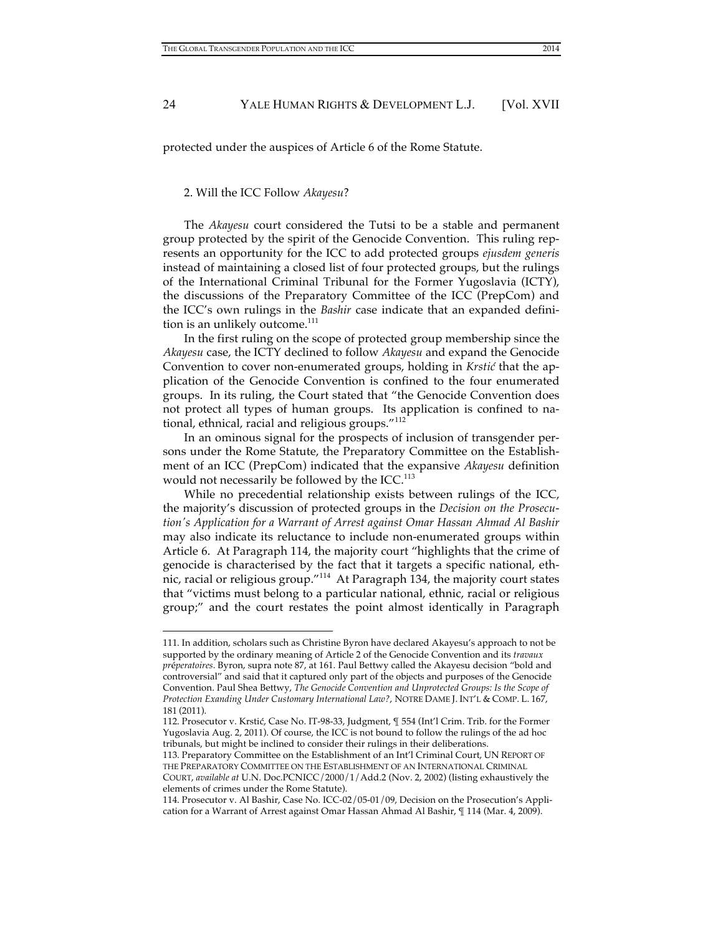protected under the auspices of Article 6 of the Rome Statute.

### 2. Will the ICC Follow *Akayesu*?

 $\overline{a}$ 

The *Akayesu* court considered the Tutsi to be a stable and permanent group protected by the spirit of the Genocide Convention. This ruling represents an opportunity for the ICC to add protected groups *ejusdem generis* instead of maintaining a closed list of four protected groups, but the rulings of the International Criminal Tribunal for the Former Yugoslavia (ICTY), the discussions of the Preparatory Committee of the ICC (PrepCom) and the ICC's own rulings in the *Bashir* case indicate that an expanded definition is an unlikely outcome.<sup>111</sup>

In the first ruling on the scope of protected group membership since the *Akayesu* case, the ICTY declined to follow *Akayesu* and expand the Genocide Convention to cover non-enumerated groups, holding in *Krstić* that the application of the Genocide Convention is confined to the four enumerated groups. In its ruling, the Court stated that "the Genocide Convention does not protect all types of human groups. Its application is confined to national, ethnical, racial and religious groups."<sup>112</sup>

In an ominous signal for the prospects of inclusion of transgender persons under the Rome Statute, the Preparatory Committee on the Establishment of an ICC (PrepCom) indicated that the expansive *Akayesu* definition would not necessarily be followed by the ICC. $^{113}$ 

While no precedential relationship exists between rulings of the ICC, the majority's discussion of protected groups in the *Decision on the Prosecution's Application for a Warrant of Arrest against Omar Hassan Ahmad Al Bashir* may also indicate its reluctance to include non-enumerated groups within Article 6. At Paragraph 114, the majority court "highlights that the crime of genocide is characterised by the fact that it targets a specific national, ethnic, racial or religious group."114 At Paragraph 134, the majority court states that "victims must belong to a particular national, ethnic, racial or religious group;" and the court restates the point almost identically in Paragraph

113. Preparatory Committee on the Establishment of an Int'l Criminal Court, UN REPORT OF THE PREPARATORY COMMITTEE ON THE ESTABLISHMENT OF AN INTERNATIONAL CRIMINAL COURT, *available at* U.N. Doc.PCNICC/2000/1/Add.2 (Nov. 2, 2002) (listing exhaustively the elements of crimes under the Rome Statute).

<sup>111.</sup> In addition, scholars such as Christine Byron have declared Akayesu's approach to not be supported by the ordinary meaning of Article 2 of the Genocide Convention and its *travaux pr*é*peratoires*. Byron, supra note 87, at 161. Paul Bettwy called the Akayesu decision "bold and controversial" and said that it captured only part of the objects and purposes of the Genocide Convention. Paul Shea Bettwy, *The Genocide Convention and Unprotected Groups: Is the Scope of Protection Exanding Under Customary International Law?*, NOTRE DAME J. INT'L & COMP. L. 167, 181 (2011).

<sup>112.</sup> Prosecutor v. Krstić, Case No. IT-98-33, Judgment, ¶ 554 (Int'l Crim. Trib. for the Former Yugoslavia Aug. 2, 2011). Of course, the ICC is not bound to follow the rulings of the ad hoc tribunals, but might be inclined to consider their rulings in their deliberations.

<sup>114.</sup> Prosecutor v. Al Bashir, Case No. ICC-02/05-01/09, Decision on the Prosecution's Application for a Warrant of Arrest against Omar Hassan Ahmad Al Bashir, ¶ 114 (Mar. 4, 2009).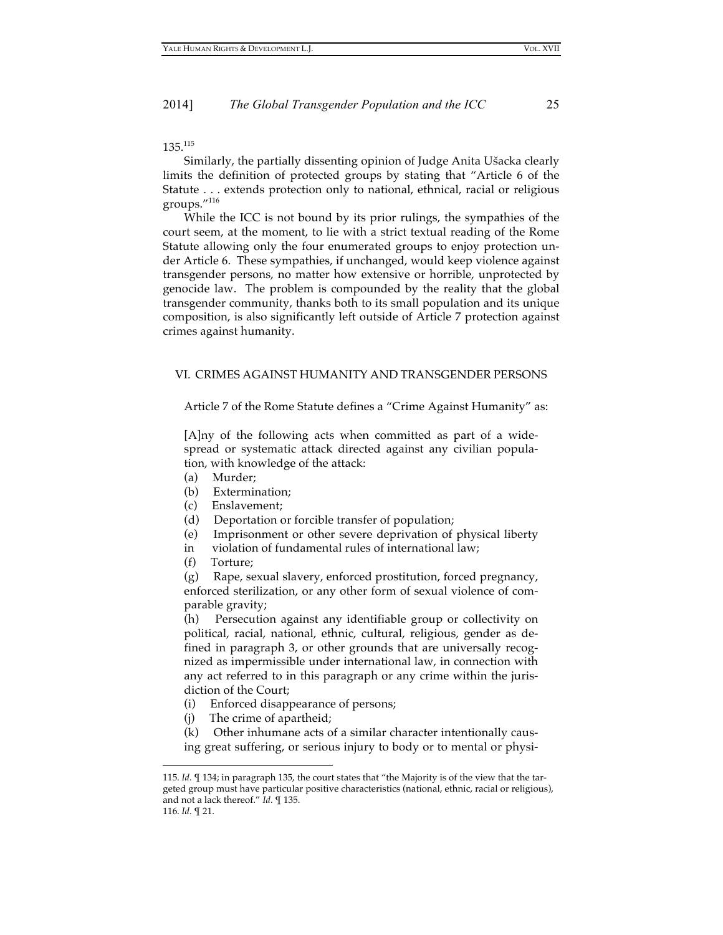$135.<sup>115</sup>$ 

Similarly, the partially dissenting opinion of Judge Anita Ušacka clearly limits the definition of protected groups by stating that "Article 6 of the Statute . . . extends protection only to national, ethnical, racial or religious groups."116

While the ICC is not bound by its prior rulings, the sympathies of the court seem, at the moment, to lie with a strict textual reading of the Rome Statute allowing only the four enumerated groups to enjoy protection under Article 6. These sympathies, if unchanged, would keep violence against transgender persons, no matter how extensive or horrible, unprotected by genocide law. The problem is compounded by the reality that the global transgender community, thanks both to its small population and its unique composition, is also significantly left outside of Article 7 protection against crimes against humanity.

# VI. CRIMES AGAINST HUMANITY AND TRANSGENDER PERSONS

Article 7 of the Rome Statute defines a "Crime Against Humanity" as:

[A]ny of the following acts when committed as part of a widespread or systematic attack directed against any civilian population, with knowledge of the attack:

- (a) Murder;
- (b) Extermination;
- (c) Enslavement;
- (d) Deportation or forcible transfer of population;
- (e) Imprisonment or other severe deprivation of physical liberty
- in violation of fundamental rules of international law;
- (f) Torture;

(g) Rape, sexual slavery, enforced prostitution, forced pregnancy, enforced sterilization, or any other form of sexual violence of comparable gravity;

(h) Persecution against any identifiable group or collectivity on political, racial, national, ethnic, cultural, religious, gender as defined in paragraph 3, or other grounds that are universally recognized as impermissible under international law, in connection with any act referred to in this paragraph or any crime within the jurisdiction of the Court;

- (i) Enforced disappearance of persons;
- (j) The crime of apartheid;

(k) Other inhumane acts of a similar character intentionally causing great suffering, or serious injury to body or to mental or physi-

<sup>115.</sup> *Id.* ¶ 134; in paragraph 135, the court states that "the Majority is of the view that the targeted group must have particular positive characteristics (national, ethnic, racial or religious), and not a lack thereof." *Id.* ¶ 135.

<sup>116.</sup> *Id.* ¶ 21.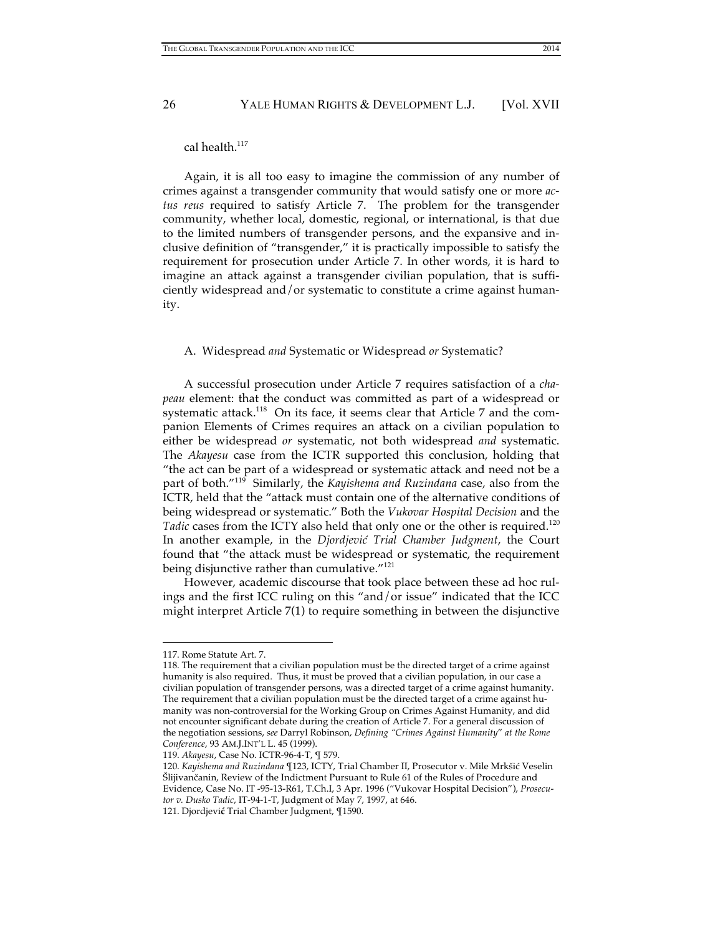cal health. 117

Again, it is all too easy to imagine the commission of any number of crimes against a transgender community that would satisfy one or more *actus reus* required to satisfy Article 7. The problem for the transgender community, whether local, domestic, regional, or international, is that due to the limited numbers of transgender persons, and the expansive and inclusive definition of "transgender," it is practically impossible to satisfy the requirement for prosecution under Article 7. In other words, it is hard to imagine an attack against a transgender civilian population, that is sufficiently widespread and/or systematic to constitute a crime against humanity.

#### A. Widespread *and* Systematic or Widespread *or* Systematic?

A successful prosecution under Article 7 requires satisfaction of a *chapeau* element: that the conduct was committed as part of a widespread or systematic attack.<sup>118</sup> On its face, it seems clear that Article 7 and the companion Elements of Crimes requires an attack on a civilian population to either be widespread *or* systematic, not both widespread *and* systematic. The *Akayesu* case from the ICTR supported this conclusion, holding that "the act can be part of a widespread or systematic attack and need not be a part of both."119 Similarly, the *Kayishema and Ruzindana* case, also from the ICTR, held that the "attack must contain one of the alternative conditions of being widespread or systematic." Both the *Vukovar Hospital Decision* and the Tadic cases from the ICTY also held that only one or the other is required.<sup>120</sup> In another example, in the *Djordjević Trial Chamber Judgment*, the Court found that "the attack must be widespread or systematic, the requirement being disjunctive rather than cumulative."<sup>121</sup>

However, academic discourse that took place between these ad hoc rulings and the first ICC ruling on this "and/or issue" indicated that the ICC might interpret Article 7(1) to require something in between the disjunctive

<sup>117.</sup> Rome Statute Art. 7.

<sup>118.</sup> The requirement that a civilian population must be the directed target of a crime against humanity is also required. Thus, it must be proved that a civilian population, in our case a civilian population of transgender persons, was a directed target of a crime against humanity. The requirement that a civilian population must be the directed target of a crime against humanity was non-controversial for the Working Group on Crimes Against Humanity, and did not encounter significant debate during the creation of Article 7. For a general discussion of the negotiation sessions, *see* Darryl Robinson, *Defining "Crimes Against Humanity*" *at the Rome Conference*, 93 AM.J.INT'L L. 45 (1999).

<sup>119.</sup> *Akayesu*, Case No. ICTR-96-4-T, ¶ 579.

<sup>120.</sup> *Kayishema and Ruzindana* ¶123, ICTY, Trial Chamber II, Prosecutor v. Mile Mrkšić Veselin Šlijivančanin, Review of the Indictment Pursuant to Rule 61 of the Rules of Procedure and Evidence, Case No. IT -95-13-R61, T.Ch.I, 3 Apr. 1996 ("Vukovar Hospital Decision"), *Prosecutor v. Dusko Tadic*, IT-94-1-T, Judgment of May 7, 1997, at 646.

<sup>121.</sup> Djordjevi**ć** Trial Chamber Judgment, ¶1590.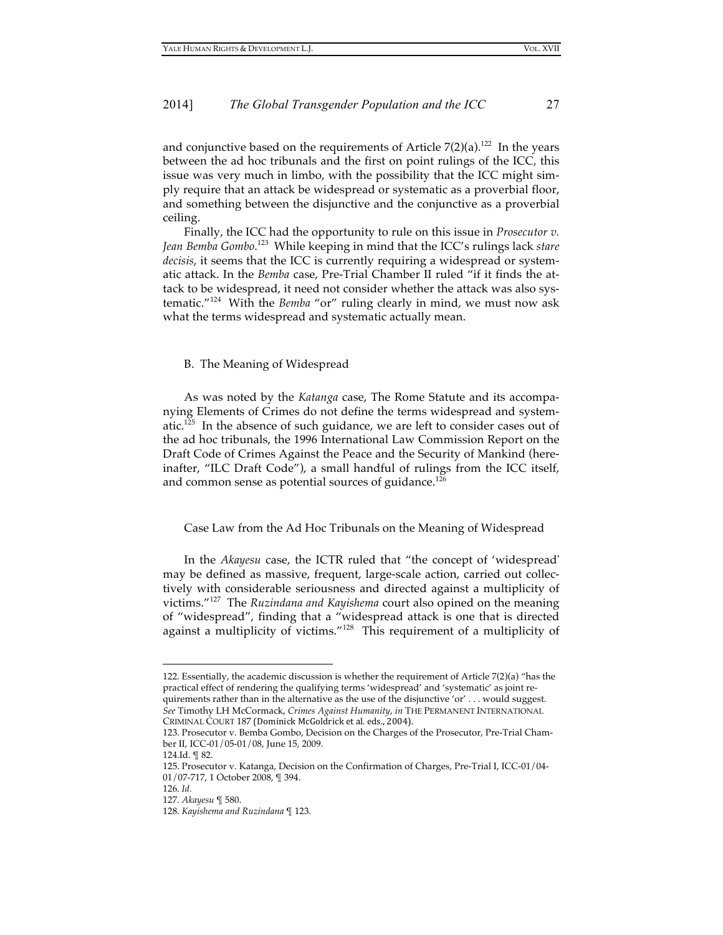and conjunctive based on the requirements of Article  $7(2)(a)$ .<sup>122</sup> In the years between the ad hoc tribunals and the first on point rulings of the ICC, this issue was very much in limbo, with the possibility that the ICC might simply require that an attack be widespread or systematic as a proverbial floor, and something between the disjunctive and the conjunctive as a proverbial ceiling.

Finally, the ICC had the opportunity to rule on this issue in *Prosecutor v. Jean Bemba Gombo*. 123 While keeping in mind that the ICC's rulings lack *stare decisis*, it seems that the ICC is currently requiring a widespread or systematic attack. In the *Bemba* case, Pre-Trial Chamber II ruled "if it finds the attack to be widespread, it need not consider whether the attack was also systematic."124 With the *Bemba* "or" ruling clearly in mind, we must now ask what the terms widespread and systematic actually mean.

#### B. The Meaning of Widespread

As was noted by the *Katanga* case, The Rome Statute and its accompanying Elements of Crimes do not define the terms widespread and systematic. 125 In the absence of such guidance, we are left to consider cases out of the ad hoc tribunals, the 1996 International Law Commission Report on the Draft Code of Crimes Against the Peace and the Security of Mankind (hereinafter, "ILC Draft Code"), a small handful of rulings from the ICC itself, and common sense as potential sources of guidance.<sup>126</sup>

#### Case Law from the Ad Hoc Tribunals on the Meaning of Widespread

In the *Akayesu* case, the ICTR ruled that "the concept of 'widespread' may be defined as massive, frequent, large-scale action, carried out collectively with considerable seriousness and directed against a multiplicity of victims."127 The *Ruzindana and Kayishema* court also opined on the meaning of "widespread", finding that a "widespread attack is one that is directed against a multiplicity of victims."128 This requirement of a multiplicity of

<sup>122.</sup> Essentially, the academic discussion is whether the requirement of Article 7(2)(a) "has the practical effect of rendering the qualifying terms 'widespread' and 'systematic' as joint requirements rather than in the alternative as the use of the disjunctive 'or' . . . would suggest. *See* Timothy LH McCormack, *Crimes Against Humanity*, *in* THE PERMANENT INTERNATIONAL

CRIMINAL COURT 187 (Dominick McGoldrick et al. eds., 2004).

<sup>123.</sup> Prosecutor v. Bemba Gombo, Decision on the Charges of the Prosecutor, Pre-Trial Chamber II, ICC-01/05-01/08, June 15, 2009.

<sup>124.</sup>Id. ¶ 82.

<sup>125.</sup> Prosecutor v. Katanga, Decision on the Confirmation of Charges, Pre-Trial I, ICC-01/04- 01/07-717, 1 October 2008, ¶ 394.

<sup>126.</sup> *Id.*

<sup>127.</sup> *Akayesu* ¶ 580.

<sup>128.</sup> *Kayishema and Ruzindana* ¶ 123.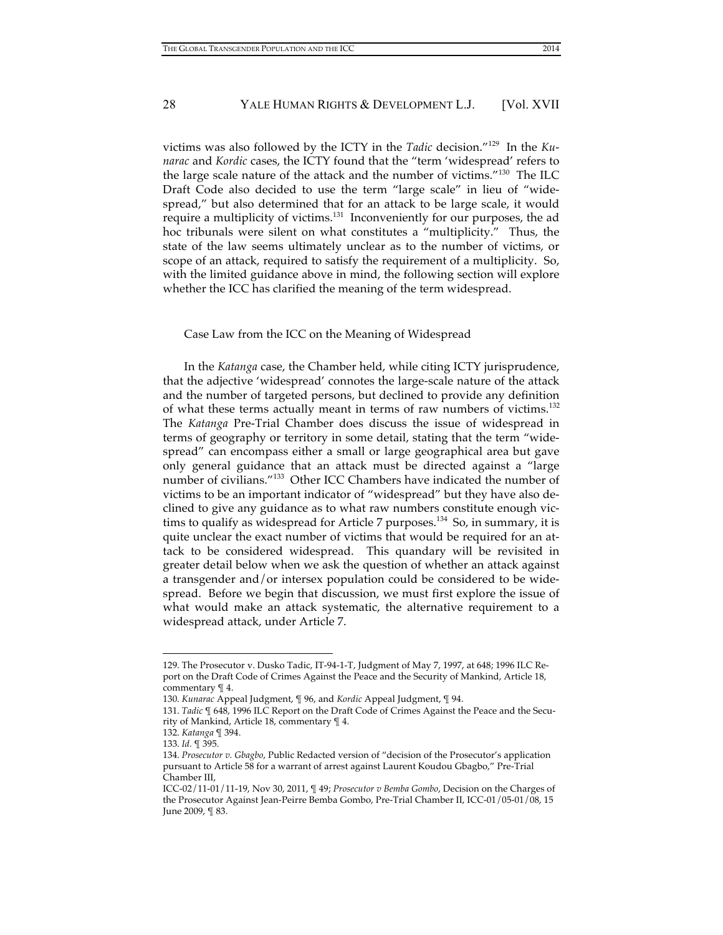victims was also followed by the ICTY in the *Tadic* decision."129 In the *Kunarac* and *Kordic* cases, the ICTY found that the "term 'widespread' refers to the large scale nature of the attack and the number of victims."<sup>130</sup> The ILC Draft Code also decided to use the term "large scale" in lieu of "widespread," but also determined that for an attack to be large scale, it would require a multiplicity of victims.<sup>131</sup> Inconveniently for our purposes, the ad hoc tribunals were silent on what constitutes a "multiplicity." Thus, the state of the law seems ultimately unclear as to the number of victims, or scope of an attack, required to satisfy the requirement of a multiplicity. So, with the limited guidance above in mind, the following section will explore whether the ICC has clarified the meaning of the term widespread.

#### Case Law from the ICC on the Meaning of Widespread

In the *Katanga* case, the Chamber held, while citing ICTY jurisprudence, that the adjective 'widespread' connotes the large-scale nature of the attack and the number of targeted persons, but declined to provide any definition of what these terms actually meant in terms of raw numbers of victims.<sup>132</sup> The *Katanga* Pre-Trial Chamber does discuss the issue of widespread in terms of geography or territory in some detail, stating that the term "widespread" can encompass either a small or large geographical area but gave only general guidance that an attack must be directed against a "large number of civilians."133 Other ICC Chambers have indicated the number of victims to be an important indicator of "widespread" but they have also declined to give any guidance as to what raw numbers constitute enough victims to qualify as widespread for Article 7 purposes. 134 So, in summary, it is quite unclear the exact number of victims that would be required for an attack to be considered widespread. This quandary will be revisited in greater detail below when we ask the question of whether an attack against a transgender and/or intersex population could be considered to be widespread. Before we begin that discussion, we must first explore the issue of what would make an attack systematic, the alternative requirement to a widespread attack, under Article 7.

<sup>129.</sup> The Prosecutor v. Dusko Tadic, IT-94-1-T, Judgment of May 7, 1997, at 648; 1996 ILC Report on the Draft Code of Crimes Against the Peace and the Security of Mankind, Article 18, commentary ¶ 4.

<sup>130.</sup> *Kunarac* Appeal Judgment, ¶ 96, and *Kordic* Appeal Judgment, ¶ 94.

<sup>131.</sup> *Tadic* ¶ 648, 1996 ILC Report on the Draft Code of Crimes Against the Peace and the Security of Mankind, Article 18, commentary ¶ 4.

<sup>132.</sup> *Katanga* ¶ 394.

<sup>133.</sup> *Id.* ¶ 395.

<sup>134.</sup> *Prosecutor v. Gbagbo*, Public Redacted version of "decision of the Prosecutor's application pursuant to Article 58 for a warrant of arrest against Laurent Koudou Gbagbo," Pre-Trial Chamber III,

ICC-02/11-01/11-19, Nov 30, 2011, ¶ 49; *Prosecutor v Bemba Gombo*, Decision on the Charges of the Prosecutor Against Jean-Peirre Bemba Gombo, Pre-Trial Chamber II, ICC-01/05-01/08, 15 June 2009, ¶ 83.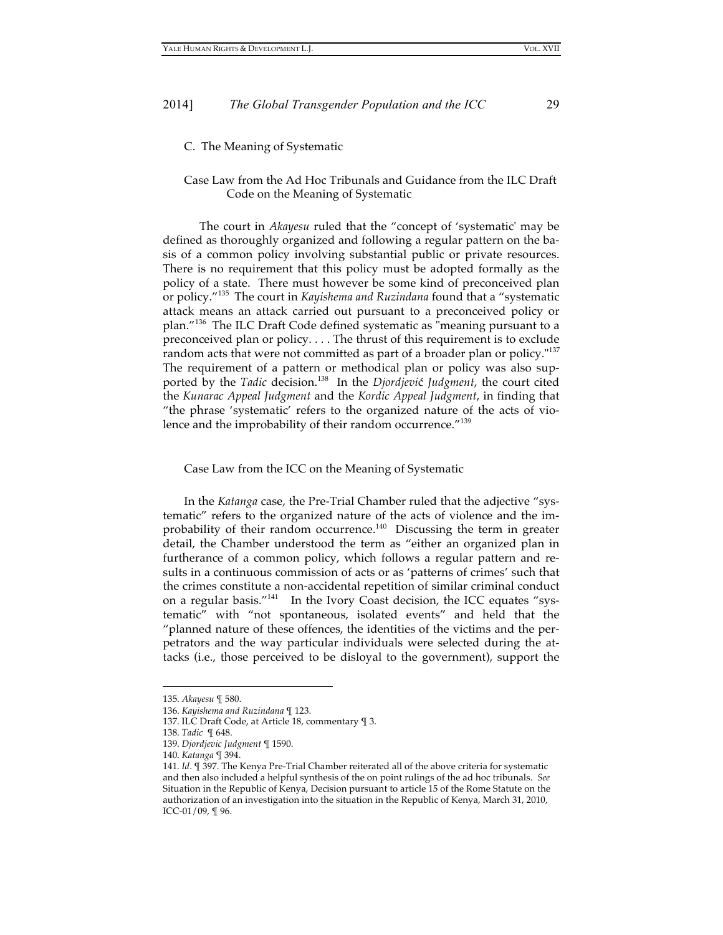C. The Meaning of Systematic

# Case Law from the Ad Hoc Tribunals and Guidance from the ILC Draft Code on the Meaning of Systematic

The court in *Akayesu* ruled that the "concept of 'systematic' may be defined as thoroughly organized and following a regular pattern on the basis of a common policy involving substantial public or private resources. There is no requirement that this policy must be adopted formally as the policy of a state. There must however be some kind of preconceived plan or policy."135 The court in *Kayishema and Ruzindana* found that a "systematic attack means an attack carried out pursuant to a preconceived policy or plan."<sup>136</sup> The ILC Draft Code defined systematic as "meaning pursuant to a preconceived plan or policy. . . . The thrust of this requirement is to exclude random acts that were not committed as part of a broader plan or policy."<sup>137</sup> The requirement of a pattern or methodical plan or policy was also supported by the *Tadic* decision. 138 In the *Djordjevi*ć *Judgment*, the court cited the *Kunarac Appeal Judgment* and the *Kordic Appeal Judgment*, in finding that "the phrase 'systematic' refers to the organized nature of the acts of violence and the improbability of their random occurrence."<sup>139</sup>

#### Case Law from the ICC on the Meaning of Systematic

In the *Katanga* case, the Pre-Trial Chamber ruled that the adjective "systematic" refers to the organized nature of the acts of violence and the improbability of their random occurrence.<sup>140</sup> Discussing the term in greater detail, the Chamber understood the term as "either an organized plan in furtherance of a common policy, which follows a regular pattern and results in a continuous commission of acts or as 'patterns of crimes' such that the crimes constitute a non-accidental repetition of similar criminal conduct on a regular basis."<sup>141</sup> In the Ivory Coast decision, the ICC equates "systematic" with "not spontaneous, isolated events" and held that the "planned nature of these offences, the identities of the victims and the perpetrators and the way particular individuals were selected during the attacks (i.e., those perceived to be disloyal to the government), support the

<sup>135.</sup> *Akayesu* ¶ 580.

<sup>136.</sup> *Kayishema and Ruzindana* ¶ 123.

<sup>137.</sup> ILC Draft Code, at Article 18, commentary ¶ 3.

<sup>138.</sup> *Tadic* ¶ 648.

<sup>139.</sup> *Djordjevic Judgment* ¶ 1590.

<sup>140.</sup> *Katanga* ¶ 394.

<sup>141.</sup> *Id*. ¶ 397. The Kenya Pre-Trial Chamber reiterated all of the above criteria for systematic and then also included a helpful synthesis of the on point rulings of the ad hoc tribunals. *See* Situation in the Republic of Kenya, Decision pursuant to article 15 of the Rome Statute on the authorization of an investigation into the situation in the Republic of Kenya, March 31, 2010, ICC-01/09, ¶ 96.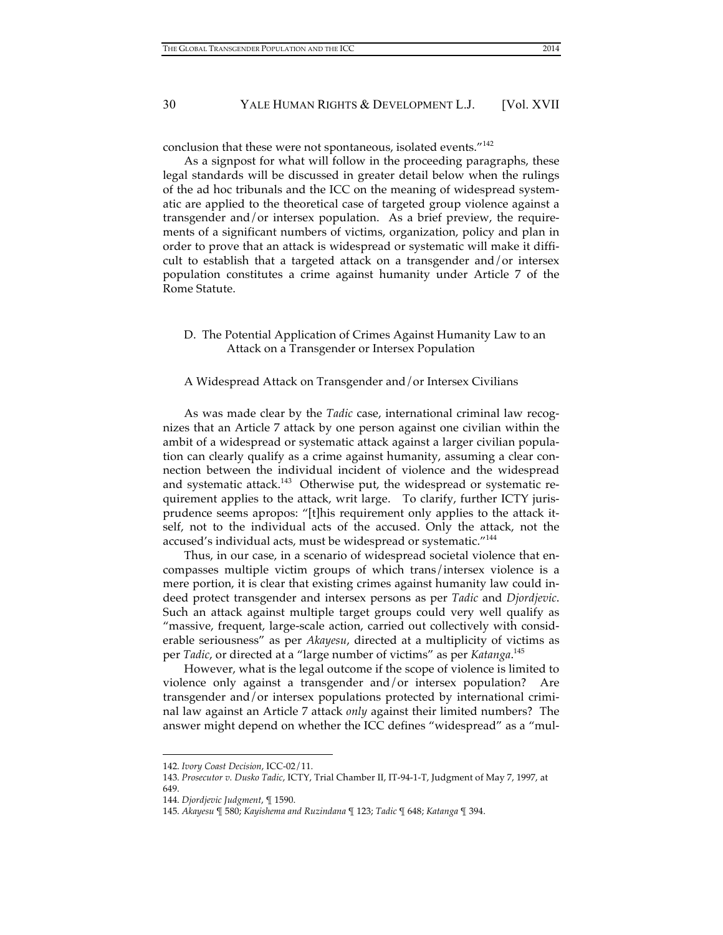conclusion that these were not spontaneous, isolated events."<sup>142</sup>

As a signpost for what will follow in the proceeding paragraphs, these legal standards will be discussed in greater detail below when the rulings of the ad hoc tribunals and the ICC on the meaning of widespread systematic are applied to the theoretical case of targeted group violence against a transgender and/or intersex population. As a brief preview, the requirements of a significant numbers of victims, organization, policy and plan in order to prove that an attack is widespread or systematic will make it difficult to establish that a targeted attack on a transgender and/or intersex population constitutes a crime against humanity under Article 7 of the Rome Statute.

# D. The Potential Application of Crimes Against Humanity Law to an Attack on a Transgender or Intersex Population

#### A Widespread Attack on Transgender and/or Intersex Civilians

As was made clear by the *Tadic* case, international criminal law recognizes that an Article 7 attack by one person against one civilian within the ambit of a widespread or systematic attack against a larger civilian population can clearly qualify as a crime against humanity, assuming a clear connection between the individual incident of violence and the widespread and systematic attack.<sup>143</sup> Otherwise put, the widespread or systematic requirement applies to the attack, writ large. To clarify, further ICTY jurisprudence seems apropos: "[t]his requirement only applies to the attack itself, not to the individual acts of the accused. Only the attack, not the accused's individual acts, must be widespread or systematic."144

Thus, in our case, in a scenario of widespread societal violence that encompasses multiple victim groups of which trans/intersex violence is a mere portion, it is clear that existing crimes against humanity law could indeed protect transgender and intersex persons as per *Tadic* and *Djordjevic*. Such an attack against multiple target groups could very well qualify as "massive, frequent, large-scale action, carried out collectively with considerable seriousness" as per *Akayesu*, directed at a multiplicity of victims as per *Tadic*, or directed at a "large number of victims" as per *Katanga*. 145

However, what is the legal outcome if the scope of violence is limited to violence only against a transgender and/or intersex population? Are transgender and/or intersex populations protected by international criminal law against an Article 7 attack *only* against their limited numbers? The answer might depend on whether the ICC defines "widespread" as a "mul-

<sup>142.</sup> *Ivory Coast Decision*, ICC-02/11.

<sup>143.</sup> *Prosecutor v. Dusko Tadic*, ICTY, Trial Chamber II, IT-94-1-T, Judgment of May 7, 1997, at 649.

<sup>144.</sup> *Djordjevic Judgment*, ¶ 1590.

<sup>145.</sup> *Akayesu* ¶ 580; *Kayishema and Ruzindana* ¶ 123; *Tadic* ¶ 648; *Katanga* ¶ 394.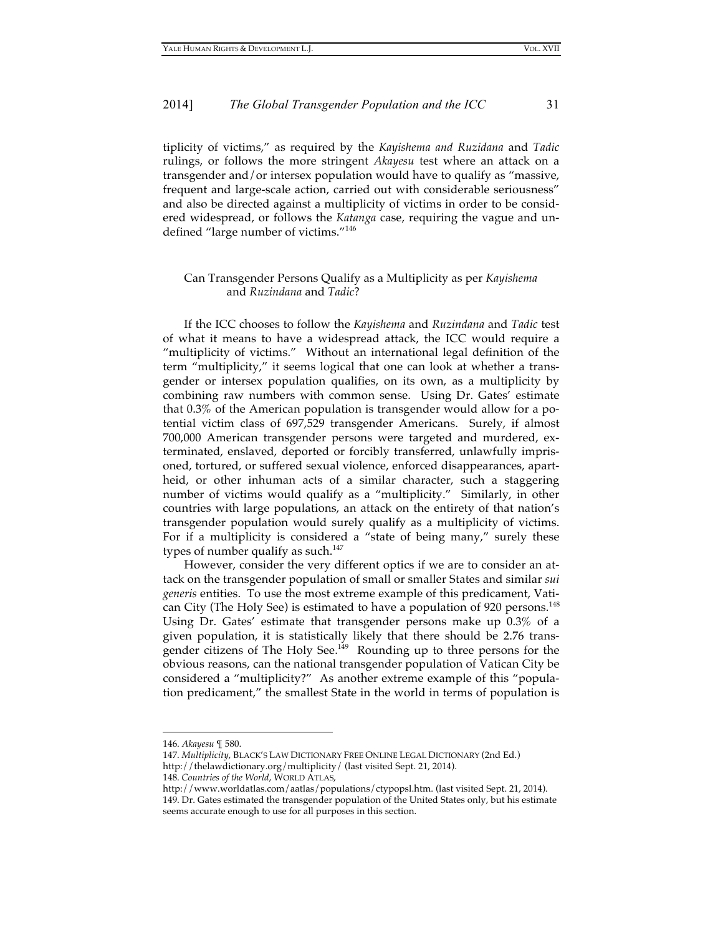tiplicity of victims," as required by the *Kayishema and Ruzidana* and *Tadic* rulings, or follows the more stringent *Akayesu* test where an attack on a transgender and/or intersex population would have to qualify as "massive, frequent and large-scale action, carried out with considerable seriousness" and also be directed against a multiplicity of victims in order to be considered widespread, or follows the *Katanga* case, requiring the vague and undefined "large number of victims."<sup>146</sup>

# Can Transgender Persons Qualify as a Multiplicity as per *Kayishema* and *Ruzindana* and *Tadic*?

If the ICC chooses to follow the *Kayishema* and *Ruzindana* and *Tadic* test of what it means to have a widespread attack, the ICC would require a "multiplicity of victims." Without an international legal definition of the term "multiplicity," it seems logical that one can look at whether a transgender or intersex population qualifies, on its own, as a multiplicity by combining raw numbers with common sense. Using Dr. Gates' estimate that 0.3% of the American population is transgender would allow for a potential victim class of 697,529 transgender Americans. Surely, if almost 700,000 American transgender persons were targeted and murdered, exterminated, enslaved, deported or forcibly transferred, unlawfully imprisoned, tortured, or suffered sexual violence, enforced disappearances, apartheid, or other inhuman acts of a similar character, such a staggering number of victims would qualify as a "multiplicity." Similarly, in other countries with large populations, an attack on the entirety of that nation's transgender population would surely qualify as a multiplicity of victims. For if a multiplicity is considered a "state of being many," surely these types of number qualify as such.<sup>147</sup>

However, consider the very different optics if we are to consider an attack on the transgender population of small or smaller States and similar *sui generis* entities. To use the most extreme example of this predicament, Vatican City (The Holy See) is estimated to have a population of 920 persons.<sup>148</sup> Using Dr. Gates' estimate that transgender persons make up 0.3% of a given population, it is statistically likely that there should be 2.76 transgender citizens of The Holy See.<sup>149</sup> Rounding up to three persons for the obvious reasons, can the national transgender population of Vatican City be considered a "multiplicity?" As another extreme example of this "population predicament," the smallest State in the world in terms of population is

<sup>146.</sup> *Akayesu* ¶ 580.

<sup>147.</sup> *Multiplicity*, BLACK'S LAW DICTIONARY FREE ONLINE LEGAL DICTIONARY (2nd Ed.) http://thelawdictionary.org/multiplicity/ (last visited Sept. 21, 2014).

<sup>148.</sup> *Countries of the World*, WORLD ATLAS,

http://www.worldatlas.com/aatlas/populations/ctypopsl.htm. (last visited Sept. 21, 2014). 149. Dr. Gates estimated the transgender population of the United States only, but his estimate seems accurate enough to use for all purposes in this section.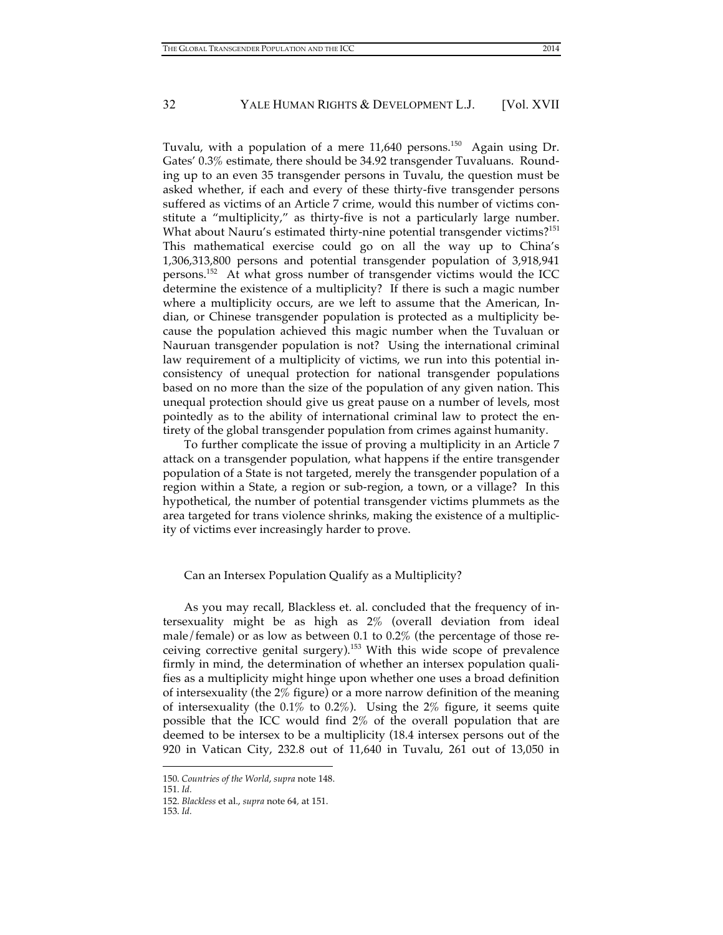Tuvalu, with a population of a mere 11,640 persons.<sup>150</sup> Again using Dr. Gates' 0.3% estimate, there should be 34.92 transgender Tuvaluans. Rounding up to an even 35 transgender persons in Tuvalu, the question must be asked whether, if each and every of these thirty-five transgender persons suffered as victims of an Article 7 crime, would this number of victims constitute a "multiplicity," as thirty-five is not a particularly large number. What about Nauru's estimated thirty-nine potential transgender victims?<sup>151</sup> This mathematical exercise could go on all the way up to China's 1,306,313,800 persons and potential transgender population of 3,918,941 persons. 152 At what gross number of transgender victims would the ICC determine the existence of a multiplicity? If there is such a magic number where a multiplicity occurs, are we left to assume that the American, Indian, or Chinese transgender population is protected as a multiplicity because the population achieved this magic number when the Tuvaluan or Nauruan transgender population is not? Using the international criminal law requirement of a multiplicity of victims, we run into this potential inconsistency of unequal protection for national transgender populations based on no more than the size of the population of any given nation. This unequal protection should give us great pause on a number of levels, most pointedly as to the ability of international criminal law to protect the entirety of the global transgender population from crimes against humanity.

To further complicate the issue of proving a multiplicity in an Article 7 attack on a transgender population, what happens if the entire transgender population of a State is not targeted, merely the transgender population of a region within a State, a region or sub-region, a town, or a village? In this hypothetical, the number of potential transgender victims plummets as the area targeted for trans violence shrinks, making the existence of a multiplicity of victims ever increasingly harder to prove.

#### Can an Intersex Population Qualify as a Multiplicity?

As you may recall, Blackless et. al. concluded that the frequency of intersexuality might be as high as 2% (overall deviation from ideal male/female) or as low as between 0.1 to 0.2% (the percentage of those receiving corrective genital surgery). 153 With this wide scope of prevalence firmly in mind, the determination of whether an intersex population qualifies as a multiplicity might hinge upon whether one uses a broad definition of intersexuality (the 2% figure) or a more narrow definition of the meaning of intersexuality (the 0.1% to 0.2%). Using the 2% figure, it seems quite possible that the ICC would find 2% of the overall population that are deemed to be intersex to be a multiplicity (18.4 intersex persons out of the 920 in Vatican City, 232.8 out of 11,640 in Tuvalu, 261 out of 13,050 in

<sup>150.</sup> *Countries of the World*, *supra* note 148.

<sup>151.</sup> *Id.*

<sup>152.</sup> *Blackless* et al., *supra* note 64*,* at 151.

<sup>153.</sup> *Id.*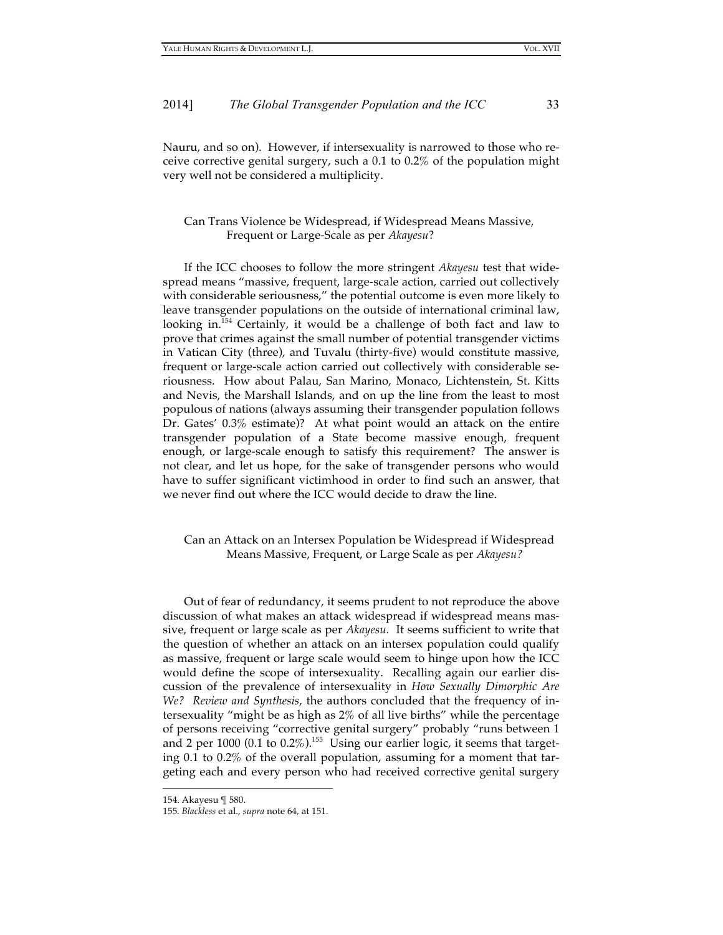Nauru, and so on). However, if intersexuality is narrowed to those who receive corrective genital surgery, such a 0.1 to 0.2% of the population might very well not be considered a multiplicity.

# Can Trans Violence be Widespread, if Widespread Means Massive, Frequent or Large-Scale as per *Akayesu*?

If the ICC chooses to follow the more stringent *Akayesu* test that widespread means "massive, frequent, large-scale action, carried out collectively with considerable seriousness," the potential outcome is even more likely to leave transgender populations on the outside of international criminal law, looking in.<sup>154</sup> Certainly, it would be a challenge of both fact and law to prove that crimes against the small number of potential transgender victims in Vatican City (three), and Tuvalu (thirty-five) would constitute massive, frequent or large-scale action carried out collectively with considerable seriousness. How about Palau, San Marino, Monaco, Lichtenstein, St. Kitts and Nevis, the Marshall Islands, and on up the line from the least to most populous of nations (always assuming their transgender population follows Dr. Gates' 0.3% estimate)? At what point would an attack on the entire transgender population of a State become massive enough, frequent enough, or large-scale enough to satisfy this requirement? The answer is not clear, and let us hope, for the sake of transgender persons who would have to suffer significant victimhood in order to find such an answer, that we never find out where the ICC would decide to draw the line.

Can an Attack on an Intersex Population be Widespread if Widespread Means Massive, Frequent, or Large Scale as per *Akayesu?*

Out of fear of redundancy, it seems prudent to not reproduce the above discussion of what makes an attack widespread if widespread means massive, frequent or large scale as per *Akayesu.* It seems sufficient to write that the question of whether an attack on an intersex population could qualify as massive, frequent or large scale would seem to hinge upon how the ICC would define the scope of intersexuality. Recalling again our earlier discussion of the prevalence of intersexuality in *How Sexually Dimorphic Are We? Review and Synthesis*, the authors concluded that the frequency of intersexuality "might be as high as 2% of all live births" while the percentage of persons receiving "corrective genital surgery" probably "runs between 1 and 2 per 1000 (0.1 to  $0.2\%$ ).<sup>155</sup> Using our earlier logic, it seems that targeting 0.1 to 0.2% of the overall population, assuming for a moment that targeting each and every person who had received corrective genital surgery

<sup>154.</sup> Akayesu ¶ 580.

<sup>155.</sup> *Blackless* et al., *supra* note 64*,* at 151.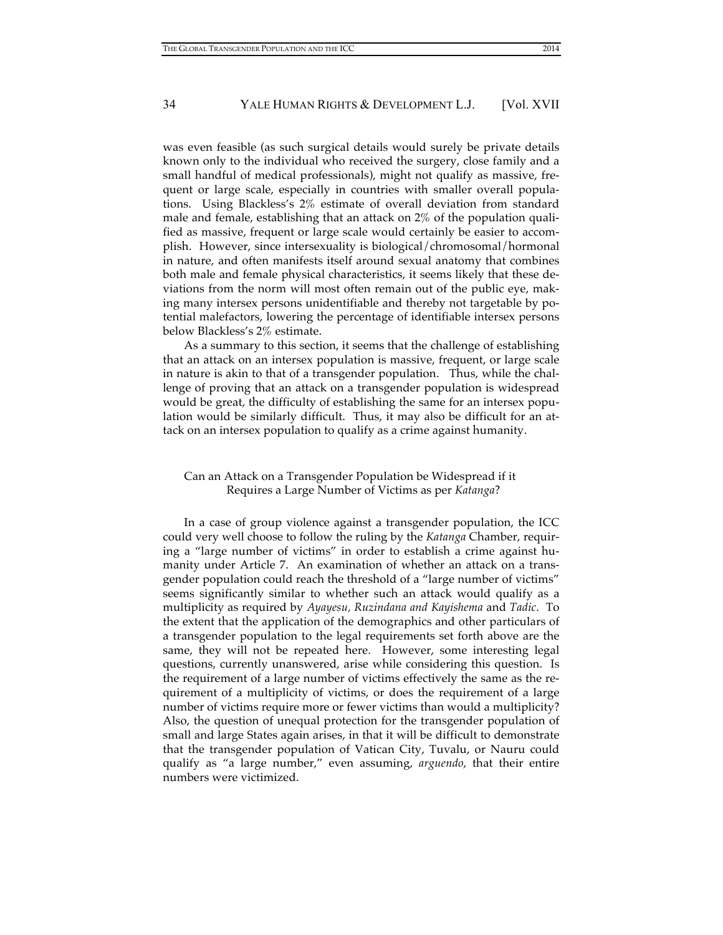was even feasible (as such surgical details would surely be private details known only to the individual who received the surgery, close family and a small handful of medical professionals), might not qualify as massive, frequent or large scale, especially in countries with smaller overall populations. Using Blackless's 2% estimate of overall deviation from standard male and female, establishing that an attack on 2% of the population qualified as massive, frequent or large scale would certainly be easier to accomplish. However, since intersexuality is biological/chromosomal/hormonal in nature, and often manifests itself around sexual anatomy that combines both male and female physical characteristics, it seems likely that these deviations from the norm will most often remain out of the public eye, making many intersex persons unidentifiable and thereby not targetable by potential malefactors, lowering the percentage of identifiable intersex persons below Blackless's 2% estimate.

As a summary to this section, it seems that the challenge of establishing that an attack on an intersex population is massive, frequent, or large scale in nature is akin to that of a transgender population. Thus, while the challenge of proving that an attack on a transgender population is widespread would be great, the difficulty of establishing the same for an intersex population would be similarly difficult. Thus, it may also be difficult for an attack on an intersex population to qualify as a crime against humanity.

# Can an Attack on a Transgender Population be Widespread if it Requires a Large Number of Victims as per *Katanga*?

In a case of group violence against a transgender population, the ICC could very well choose to follow the ruling by the *Katanga* Chamber, requiring a "large number of victims" in order to establish a crime against humanity under Article 7. An examination of whether an attack on a transgender population could reach the threshold of a "large number of victims" seems significantly similar to whether such an attack would qualify as a multiplicity as required by *Ayayesu, Ruzindana and Kayishema* and *Tadic*. To the extent that the application of the demographics and other particulars of a transgender population to the legal requirements set forth above are the same, they will not be repeated here. However, some interesting legal questions, currently unanswered, arise while considering this question. Is the requirement of a large number of victims effectively the same as the requirement of a multiplicity of victims, or does the requirement of a large number of victims require more or fewer victims than would a multiplicity? Also, the question of unequal protection for the transgender population of small and large States again arises, in that it will be difficult to demonstrate that the transgender population of Vatican City, Tuvalu, or Nauru could qualify as "a large number," even assuming, *arguendo*, that their entire numbers were victimized.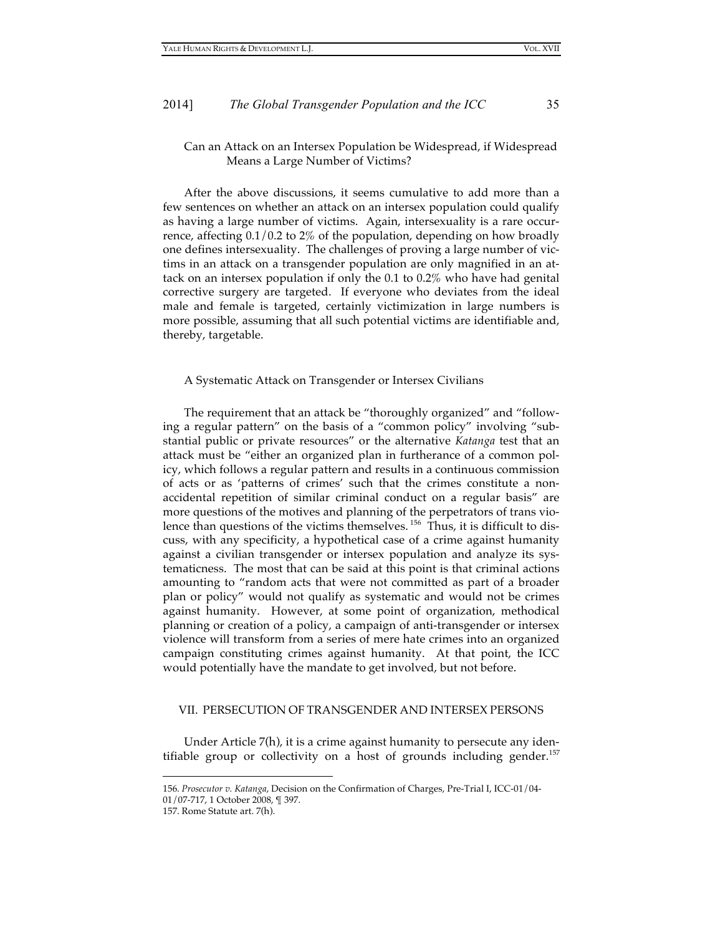# Can an Attack on an Intersex Population be Widespread, if Widespread Means a Large Number of Victims?

After the above discussions, it seems cumulative to add more than a few sentences on whether an attack on an intersex population could qualify as having a large number of victims. Again, intersexuality is a rare occurrence, affecting 0.1/0.2 to 2% of the population, depending on how broadly one defines intersexuality. The challenges of proving a large number of victims in an attack on a transgender population are only magnified in an attack on an intersex population if only the 0.1 to 0.2% who have had genital corrective surgery are targeted. If everyone who deviates from the ideal male and female is targeted, certainly victimization in large numbers is more possible, assuming that all such potential victims are identifiable and, thereby, targetable.

#### A Systematic Attack on Transgender or Intersex Civilians

The requirement that an attack be "thoroughly organized" and "following a regular pattern" on the basis of a "common policy" involving "substantial public or private resources" or the alternative *Katanga* test that an attack must be "either an organized plan in furtherance of a common policy, which follows a regular pattern and results in a continuous commission of acts or as 'patterns of crimes' such that the crimes constitute a nonaccidental repetition of similar criminal conduct on a regular basis" are more questions of the motives and planning of the perpetrators of trans violence than questions of the victims themselves. 156 Thus, it is difficult to discuss, with any specificity, a hypothetical case of a crime against humanity against a civilian transgender or intersex population and analyze its systematicness. The most that can be said at this point is that criminal actions amounting to "random acts that were not committed as part of a broader plan or policy" would not qualify as systematic and would not be crimes against humanity. However, at some point of organization, methodical planning or creation of a policy, a campaign of anti-transgender or intersex violence will transform from a series of mere hate crimes into an organized campaign constituting crimes against humanity. At that point, the ICC would potentially have the mandate to get involved, but not before.

# VII. PERSECUTION OF TRANSGENDER AND INTERSEX PERSONS

Under Article 7(h), it is a crime against humanity to persecute any identifiable group or collectivity on a host of grounds including gender.<sup>157</sup>

<sup>156.</sup> *Prosecutor v. Katanga*, Decision on the Confirmation of Charges, Pre-Trial I, ICC-01/04- 01/07-717, 1 October 2008, ¶ 397.

<sup>157.</sup> Rome Statute art. 7(h).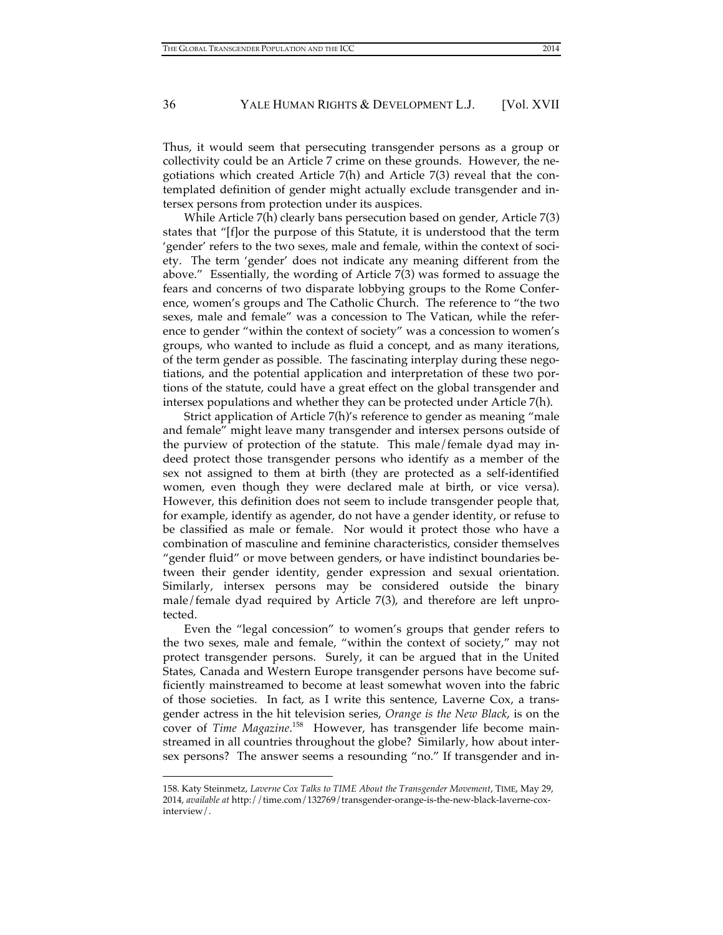Thus, it would seem that persecuting transgender persons as a group or collectivity could be an Article 7 crime on these grounds. However, the negotiations which created Article 7(h) and Article 7(3) reveal that the contemplated definition of gender might actually exclude transgender and intersex persons from protection under its auspices.

While Article 7(h) clearly bans persecution based on gender, Article 7(3) states that "[f]or the purpose of this Statute, it is understood that the term 'gender' refers to the two sexes, male and female, within the context of society. The term 'gender' does not indicate any meaning different from the above." Essentially, the wording of Article 7(3) was formed to assuage the fears and concerns of two disparate lobbying groups to the Rome Conference, women's groups and The Catholic Church. The reference to "the two sexes, male and female" was a concession to The Vatican, while the reference to gender "within the context of society" was a concession to women's groups, who wanted to include as fluid a concept, and as many iterations, of the term gender as possible. The fascinating interplay during these negotiations, and the potential application and interpretation of these two portions of the statute, could have a great effect on the global transgender and intersex populations and whether they can be protected under Article 7(h).

Strict application of Article 7(h)'s reference to gender as meaning "male and female" might leave many transgender and intersex persons outside of the purview of protection of the statute. This male/female dyad may indeed protect those transgender persons who identify as a member of the sex not assigned to them at birth (they are protected as a self-identified women, even though they were declared male at birth, or vice versa). However, this definition does not seem to include transgender people that, for example, identify as agender, do not have a gender identity, or refuse to be classified as male or female. Nor would it protect those who have a combination of masculine and feminine characteristics, consider themselves "gender fluid" or move between genders, or have indistinct boundaries between their gender identity, gender expression and sexual orientation. Similarly, intersex persons may be considered outside the binary male/female dyad required by Article 7(3), and therefore are left unprotected.

Even the "legal concession" to women's groups that gender refers to the two sexes, male and female, "within the context of society," may not protect transgender persons. Surely, it can be argued that in the United States, Canada and Western Europe transgender persons have become sufficiently mainstreamed to become at least somewhat woven into the fabric of those societies. In fact, as I write this sentence, Laverne Cox, a transgender actress in the hit television series, *Orange is the New Black*, is on the cover of *Time Magazine*.<sup>158</sup> However, has transgender life become mainstreamed in all countries throughout the globe? Similarly, how about intersex persons? The answer seems a resounding "no." If transgender and in-

<sup>158.</sup> Katy Steinmetz, *Laverne Cox Talks to TIME About the Transgender Movement*, TIME, May 29, 2014, *available at* http://time.com/132769/transgender-orange-is-the-new-black-laverne-coxinterview/.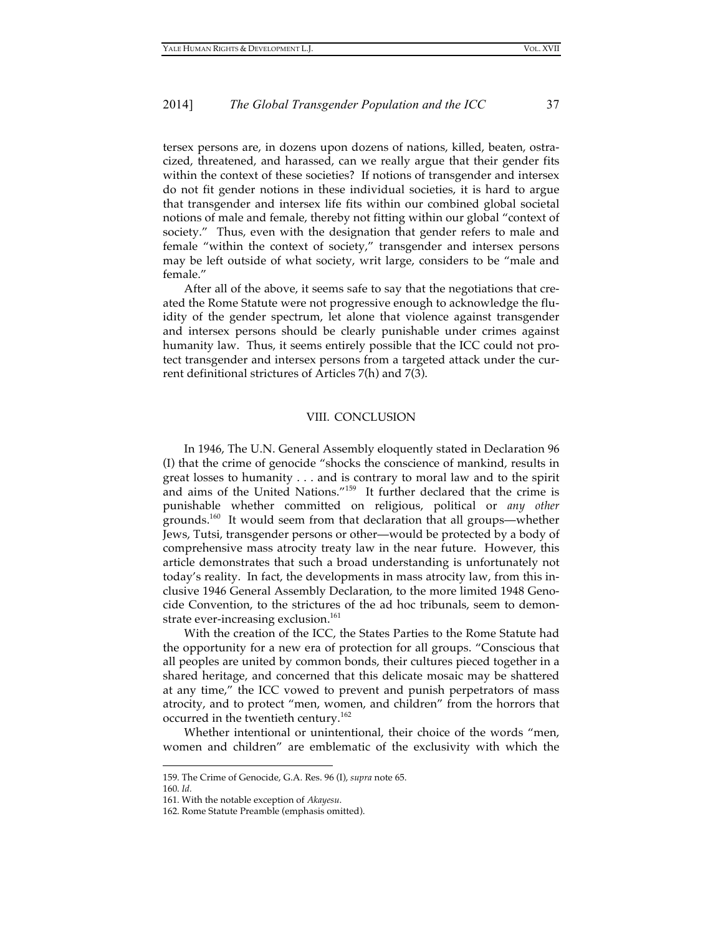tersex persons are, in dozens upon dozens of nations, killed, beaten, ostracized, threatened, and harassed, can we really argue that their gender fits within the context of these societies? If notions of transgender and intersex do not fit gender notions in these individual societies, it is hard to argue that transgender and intersex life fits within our combined global societal notions of male and female, thereby not fitting within our global "context of society." Thus, even with the designation that gender refers to male and female "within the context of society," transgender and intersex persons may be left outside of what society, writ large, considers to be "male and female."

After all of the above, it seems safe to say that the negotiations that created the Rome Statute were not progressive enough to acknowledge the fluidity of the gender spectrum, let alone that violence against transgender and intersex persons should be clearly punishable under crimes against humanity law. Thus, it seems entirely possible that the ICC could not protect transgender and intersex persons from a targeted attack under the current definitional strictures of Articles 7(h) and 7(3).

#### VIII. CONCLUSION

In 1946, The U.N. General Assembly eloquently stated in Declaration 96 (I) that the crime of genocide "shocks the conscience of mankind, results in great losses to humanity . . . and is contrary to moral law and to the spirit and aims of the United Nations."159 It further declared that the crime is punishable whether committed on religious, political or *any other* grounds. 160 It would seem from that declaration that all groups—whether Jews, Tutsi, transgender persons or other—would be protected by a body of comprehensive mass atrocity treaty law in the near future. However, this article demonstrates that such a broad understanding is unfortunately not today's reality. In fact, the developments in mass atrocity law, from this inclusive 1946 General Assembly Declaration, to the more limited 1948 Genocide Convention, to the strictures of the ad hoc tribunals, seem to demonstrate ever-increasing exclusion.<sup>161</sup>

With the creation of the ICC, the States Parties to the Rome Statute had the opportunity for a new era of protection for all groups. "Conscious that all peoples are united by common bonds, their cultures pieced together in a shared heritage, and concerned that this delicate mosaic may be shattered at any time," the ICC vowed to prevent and punish perpetrators of mass atrocity, and to protect "men, women, and children" from the horrors that occurred in the twentieth century.<sup>162</sup>

Whether intentional or unintentional, their choice of the words "men, women and children" are emblematic of the exclusivity with which the

<sup>159.</sup> The Crime of Genocide, G.A. Res. 96 (I), *supra* note 65.

<sup>160.</sup> *Id.*

<sup>161.</sup> With the notable exception of *Akayesu*.

<sup>162.</sup> Rome Statute Preamble (emphasis omitted).